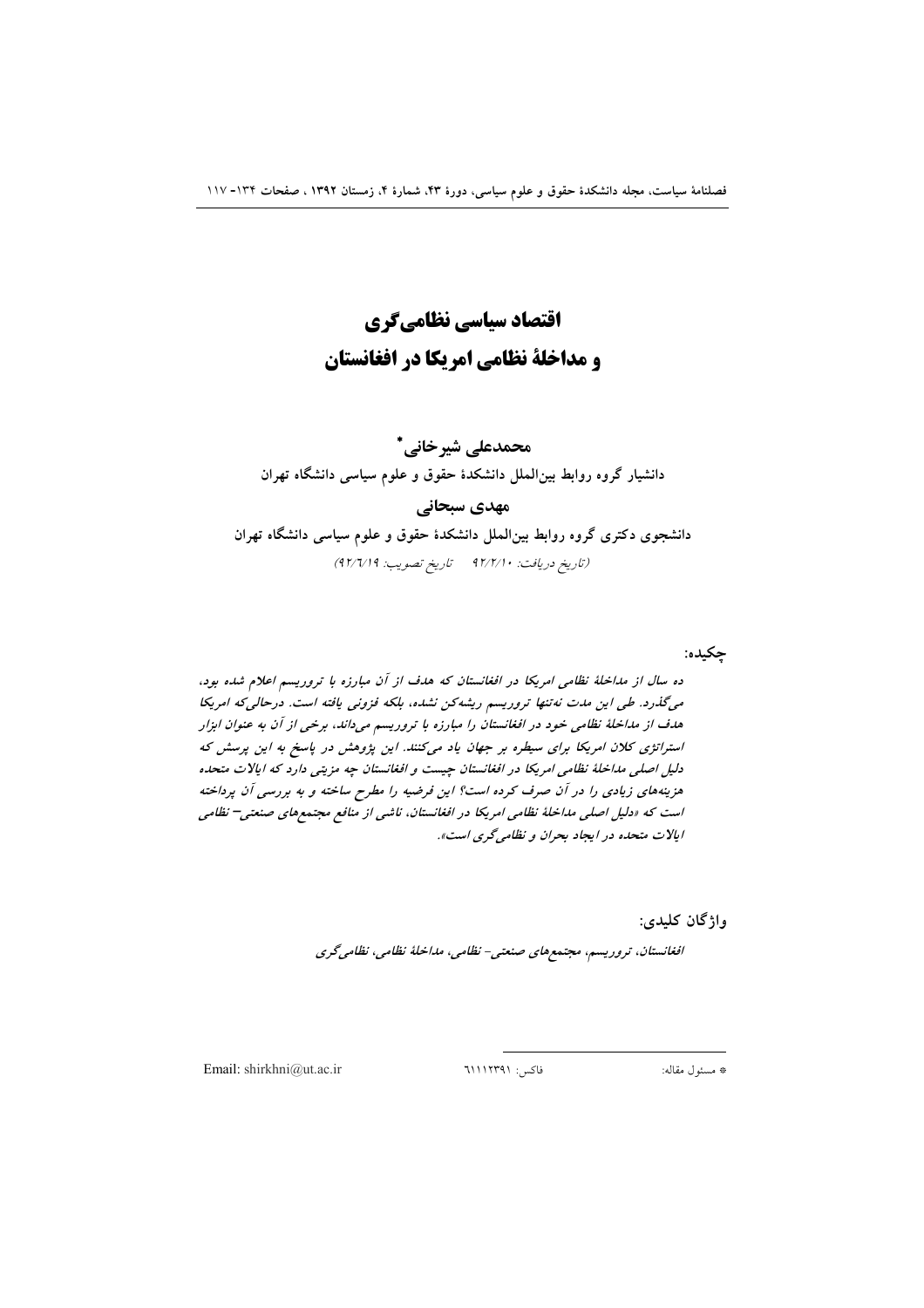# اقتصاد سیاسی نظامیگری و مداخلة نظامي امريكا در افغانستان

## محمدعلی شیرخانی \*

دانشیار گروه روابط بین|لملل دانشکدهٔ حقوق و علوم سیاسی دانشگاه تهران

#### مهدی سبحانی

دانشجوی دکتری گروه روابط بین الملل دانشکدهٔ حقوق و علوم سیاسی دانشگاه تهران (تاريخ دريافت: ٩٢/٢/١٠ تاريخ تصويب: ٩٢/٦/١٩)

چکیده:

ده سال از مداخلهٔ نظامی امریکا در افغانستان که هدف از آن مبارزه با تروریسم اعلام شده بود، میگذرد. طی این مدت نه تنها تروریسم ریشه کن نشده، بلکه فزونی یافته است. درحالی که امریکا هدف از مداخلهٔ نظامی خود در افغانستان را مبارزه با تروریسم میداند، برخی از آن به عنوان ابزار استراتژی کلان امریکا برای سیطره بر جهان یاد میکنند. این پژوهش در پاسخ به این پرسش که دلیل اصلی مداخلهٔ نظامی امریکا در افغانستان چیست و افغانستان چه مزیتی دارد که ایالات متحده هزینههای زیادی را در آن صرف کرده است؟ این فرضیه را مطرح ساخته و به بررسی آن پرداخته است که «دلیل اصلی مداخلهٔ نظامی امریکا در افغانستان، ناشی از منافع مجتمعهای صنعتی<sup>–</sup> نظامی ابالات متحده در ایجاد بحران و نظامی گری است».

واژگان کليدي:

افغانستان، تروریسم، مجتمعهای صنعتبی- نظامی، مداخلهٔ نظامی، نظامیگری

Email: shirkhni@ut.ac.ir

فاكس: ١١١٢٣٩١١٦٣

\* مسئول مقاله: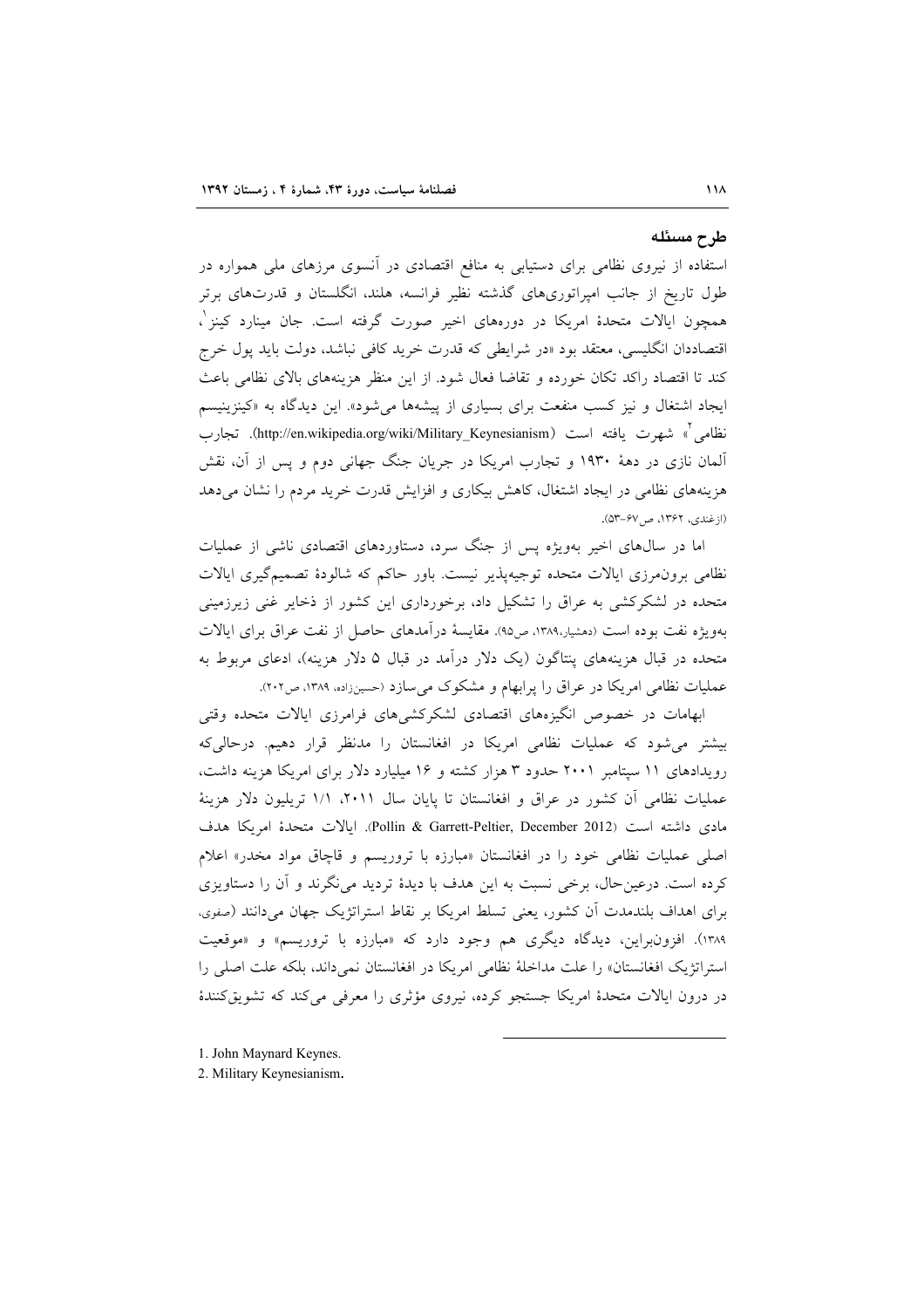#### طرح مسئله

استفاده از نیروی نظامی برای دستیابی به منافع اقتصادی در آنسوی مرزهای ملی همواره در طول تاریخ از جانب امپراتوریهای گذشته نظیر فرانسه، هلند، انگلستان و قدرتهای برتر همچون ایالات متحدهٔ امریکا در دورههای اخیر صورت گرفته است. جان مینارد کینز ٰ، اقتصاددان انگلیسی، معتقد بود «در شرایطی که قدرت خرید کافی نباشد، دولت باید پول خرج كند تا اقتصاد راكد تكان خورده و تقاضا فعال شود. از اين منظر هزينههاى بالاى نظامى باعث ایجاد اشتغال و نیز کسب منفعت برای بسیاری از پیشهها می شود». این دیدگاه به «کینزینیسم نظامي `» شهرت يافته است (http://en.wikipedia.org/wiki/Military\_Keynesianism). تجارب آلمان نازی در دههٔ ۱۹۳۰ و تجارب امریکا در جریان جنگ جهانی دوم و پس از آن، نقش هزینههای نظامی در ایجاد اشتغال، کاهش بیکاری و افزایش قدرت خرید مردم را نشان می دهد (ازغندي، ١٣۶٢، ص٥٣-٥٣).

اما در سالهای اخیر بهویژه پس از جنگ سرد، دستاوردهای اقتصادی ناشی از عملیات نظامی برون مرزی ایالات متحده توجیهپذیر نیست. باور حاکم که شالودهٔ تصمیم گیری ایالات متحده در لشکرکشی به عراق را تشکیل داد، برخورداری این کشور از ذخایر غنی زیرزمینی بهویژه نفت بوده است (دهشیار،۱۳۸۹، ص۹۵). مقایسهٔ درآمدهای حاصل از نفت عراق برای ایالات متحده در قبال هزینههای پنتاگون (یک دلار درآمد در قبال ۵ دلار هزینه)، ادعای مربوط به عملیات نظامی امریکا در عراق را پرابهام و مشکوک می سازد (حسینزاده، ۱۳۸۹، ص۲۰۲).

ابهامات در خصوص انگیزههای اقتصادی لشکرکشیهای فرامرزی ایالات متحده وقتی بیشتر می شود که عملیات نظامی امریکا در افغانستان را مدنظر قرار دهیم. درحالیکه رویدادهای ١١ سپتامبر ٢٠٠١ حدود ٣ هزار كشته و ١۶ میلیارد دلار برای امریكا هزینه داشت، عملیات نظامی اّن کشور در عراق و افغانستان تا پایان سال ۲۰۱۱، /۱۱ تریلیون دلار هزینهٔ مادي داشته است (Pollin & Garrett-Peltier, December 2012). ايالات متحدة امريكا هدف اصلی عملیات نظامی خود را در افغانستان «مبارزه با تروریسم و قاچاق مواد مخدر» اعلام کرده است. درعین حال، برخی نسبت به این هدف با دیدهٔ تردید می نگرند و آن را دستاویزی برای اهداف بلندمدت آن کشور، یعنی تسلط امریکا بر نقاط استراتژیک جهان میدانند (صفوی، ۱۳۸۹). افزونبراین، دیدگاه دیگری هم وجود دارد که «مبارزه با تروریسم» و «موقعیت استراتژیک افغانستان» را علت مداخلهٔ نظامی امریکا در افغانستان نمیداند، بلکه علت اصلی را در درون ایالات متحدهٔ امریکا جستجو کرده، نیروی مؤثری را معرفی می کند که تشویق کنندهٔ

- 1. John Maynard Keynes.
- 2. Military Keynesianism.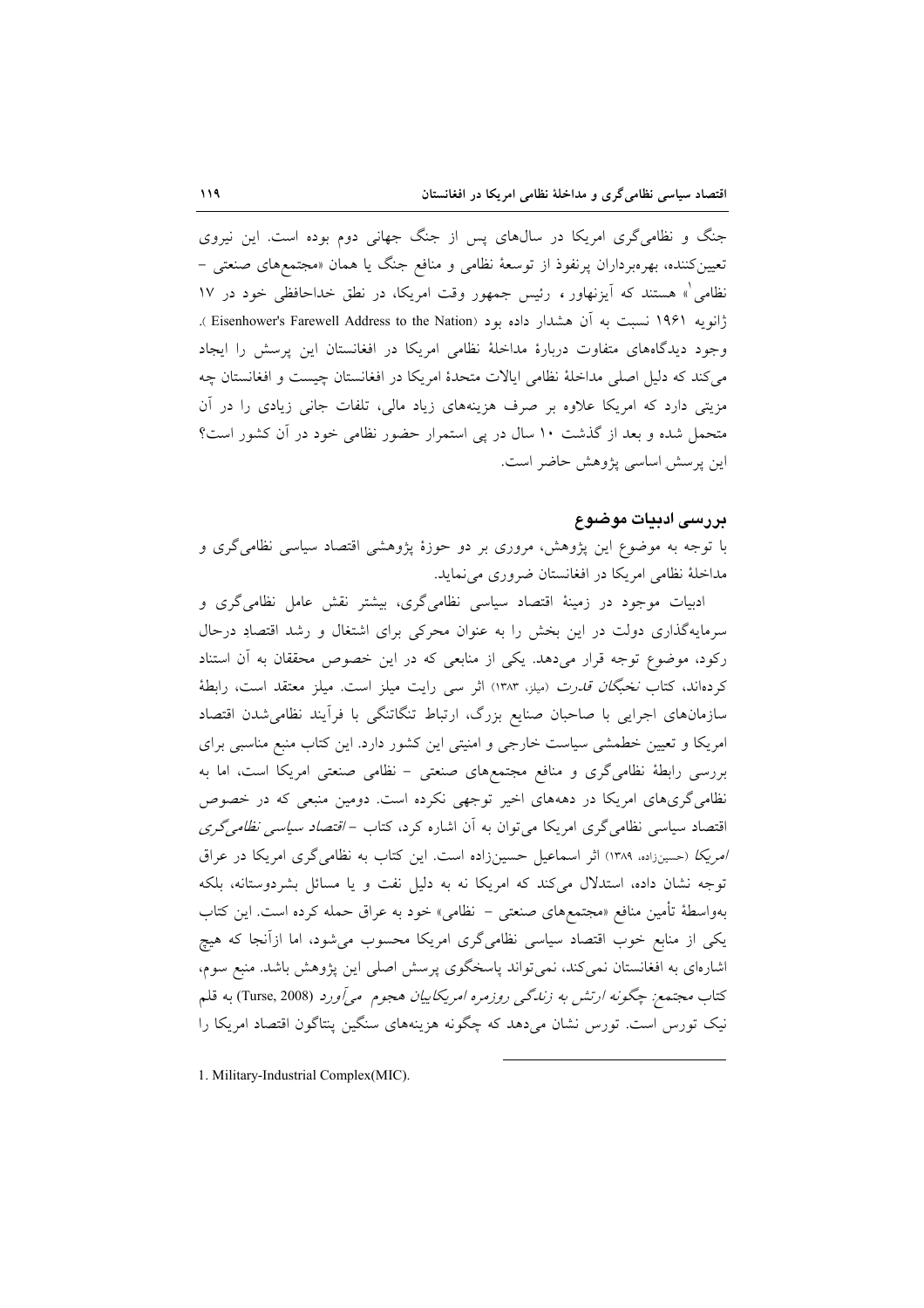جنگ و نظامی گری امریکا در سال های پس از جنگ جهانی دوم بوده است. این نیروی تعیین کننده، بهرهبرداران پرنفوذ از توسعهٔ نظامی و منافع جنگ یا همان «مجتمعهای صنعتی – نظامی ْ» هستند که اَیزنهاور ، رئیس جمهور وقت امریکا، در نطق خداحافظی خود در ۱۷ ژانویه ۱۹۶۱ نسبت به آن هشدار داده بود (Eisenhower's Farewell Address to the Nation). وجود دیدگاههای متفاوت دربارهٔ مداخلهٔ نظامی امریکا در افغانستان این پرسش را ایجاد می کند که دلیل اصلی مداخلهٔ نظامی ایالات متحدهٔ امریکا در افغانستان چیست و افغانستان چه مزیتی دارد که امریکا علاوه بر صرف هزینههای زیاد مالی، تلفات جانی زیادی را در آن متحمل شده و بعد از گذشت ۱۰ سال در پی استمرار حضور نظامی خود در آن کشور است؟ اين پرسش اساسي پژوهش حاضر است.

### پرزسی ادیبات موضوع

با توجه به موضوع این پژوهش، مروری بر دو حوزهٔ پژوهشی اقتصاد سیاسی نظامیگری و مداخلهٔ نظامی امریکا در افغانستان ضروری می نماید.

ادبیات موجود در زمینهٔ اقتصاد سیاسی نظامیگری، بیشتر نقش عامل نظامیگری و سرمایهگذاری دولت در این بخش را به عنوان محرکی برای اشتغال و رشد اقتصادِ درحال رکود، موضوع توجه قرار میدهد. یکی از منابعی که در این خصوص محققان به آن استناد کردهاند، کتاب *نخبگان قدرت* (میلز، ۱۳۸۳) اثر سی رایت میلز است. میلز معتقد است، رابطهٔ سازمانهای اجرایی با صاحبان صنایع بزرگ، ارتباط تنگاتنگی با فرآیند نظامی شدن اقتصاد امریکا و تعیین خطمشی سیاست خارجی و امنیتی این کشور دارد. این کتاب منبع مناسبی برای بررسی رابطهٔ نظامیگری و منافع مجتمعهای صنعتی - نظامی صنعتی امریکا است، اما به نظامی گریهای امریکا در دهههای اخیر توجهی نکرده است. دومین منبعی که در خصوص اقتصاد سیاسی نظامی گری امریکا می توان به آن اشاره کرد، کتاب – *اقتصاد سیاسی نظامی گری* امریکا (حسینزاده، ۱۳۸۹) اثر اسماعیل حسینزاده است. این کتاب به نظامی گری امریکا در عراق توجه نشان داده، استدلال میکند که امریکا نه به دلیل نفت و یا مسائل بشردوستانه، بلکه بهواسطهٔ تأمین منافع «مجتمعهای صنعتی – نظامی» خود به عراق حمله کرده است. این کتاب یکی از منابع خوب اقتصاد سیاسی نظامیگری امریکا محسوب میشود، اما ازآنجا که هیچ اشارهای به افغانستان نمیکند، نمی تواند پاسخگوی پرسش اصلی این پژوهش باشد. منبع سوم، كتاب مجتمع; چگونه ارتش به زندگی روزمره امريكاييان هجوم می آورد (Turse, 2008) به قلم نیک تورس است. تورس نشان میدهد که چگونه هزینههای سنگین پنتاگون اقتصاد امریکا را

1. Military-Industrial Complex(MIC).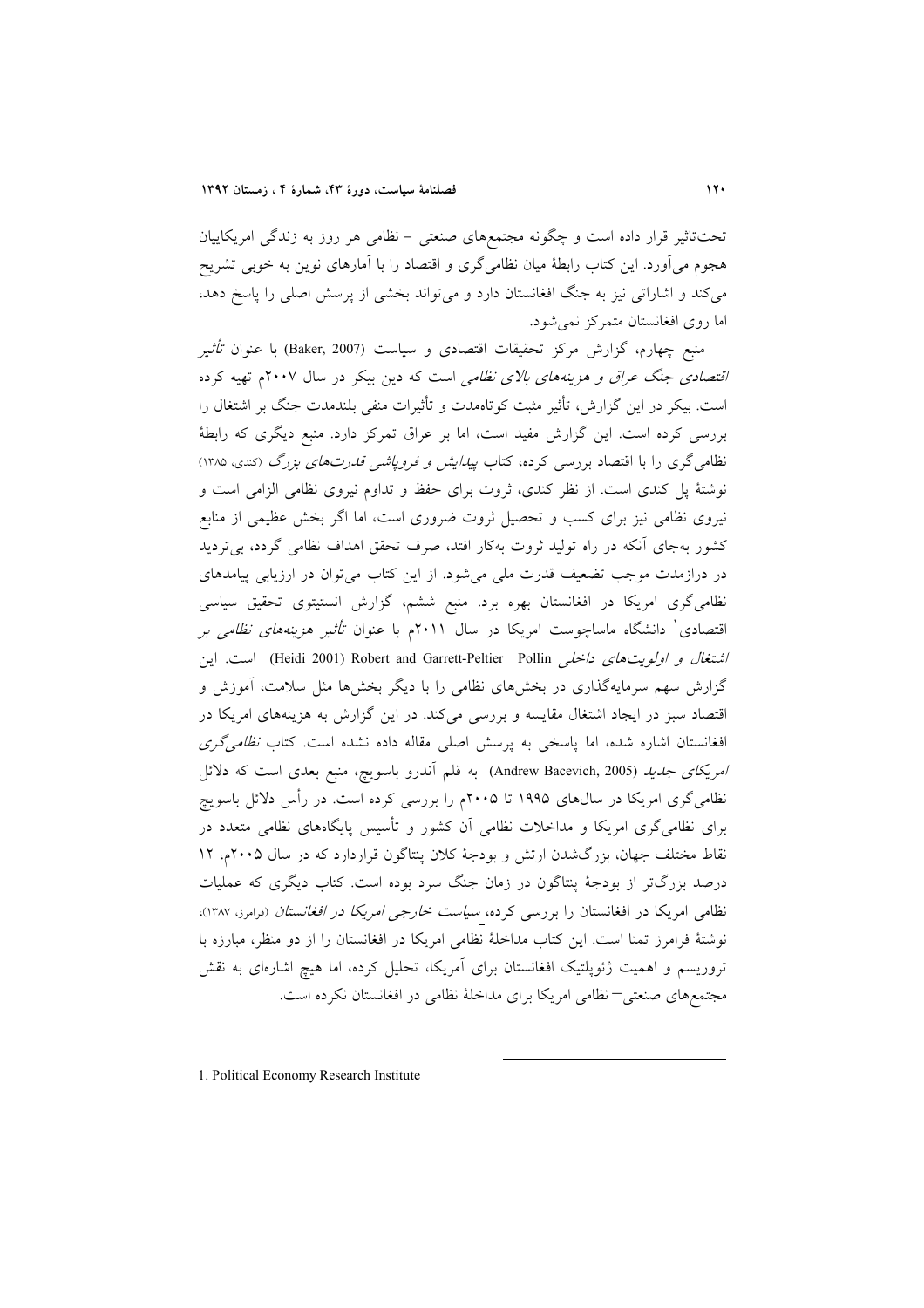تحت تاثیر قرار داده است و چگونه مجتمعهای صنعتبی – نظامی هر روز به زندگی امریکاییان هجوم می اَورد. این کتاب رابطهٔ میان نظامی گری و اقتصاد را با اَمارهای نوین به خوبی تشریح می کند و اشاراتی نیز به جنگ افغانستان دارد و می تواند بخشی از پرسش اصلی را پاسخ دهد، اما روی افغانستان متمرکز نمی شود.

منبع چهارم، گزارش مرکز تحقیقات اقتصادی و سیاست (Baker, 2007) با عنوان *تأثی*ر /قتص*ادی جنگ عراق و هزینههای بالای نظامی* است که دین بیکر در سال ۲۰۰۷م تهیه کرده است. بیکر در این گزارش، تأثیر مثبت کوتاهمدت و تأثیرات منفی بلندمدت جنگ بر اشتغال را بررسی کرده است. این گزارش مفید است، اما بر عراق تمرکز دارد. منبع دیگری که رابطهٔ نظامی گری را با اقتصاد بررسی کرده، کتاب *پیدایش و فرویاشی قدرتهای بزرگ (کندی*، ۱۳۸۵) نوشتهٔ پل کندی است. از نظر کندی، ثروت برای حفظ و تداوم نیروی نظامی الزامی است و نیروی نظامی نیز برای کسب و تحصیل ثروت ضروری است، اما اگر بخش عظیمی از منابع کشور بهجای آنکه در راه تولید ثروت بهکار افتد، صرف تحقق اهداف نظامی گردد، بی تردید در درازمدت موجب تضعیف قدرت ملی میشود. از این کتاب میتوان در ارزیابی پیامدهای نظامی گری امریکا در افغانستان بهره برد. منبع ششم، گزارش انستیتوی تحقیق سیاسی اقتصادی<sup>۱</sup> دانشگاه ماساچوست امریکا در سال ۲۰۱۱م با عنوان *تأثیر هزینههای نظامی بر* اشتغال و اولویت های داخلهی Peidi 2001) Robert and Garrett-Peltier Pollin است. این گزارش سهم سرمایهگذاری در بخشهای نظامی را با دیگر بخشها مثل سلامت، آموزش و اقتصاد سبز در ایجاد اشتغال مقایسه و بررسی میکند. در این گزارش به هزینههای امریکا در افغانستان اشاره شده، اما پاسخی به پرسش اصلی مقاله داده نشده است. کتاب *نظامی گری* ا*مريكاى جديد (*Andrew Bacevich, 2005) به قلم آندرو باسويچ، منبع بعدى است كه دلائل نظامیگری امریکا در سال0های ۱۹۹۵ تا ۲۰۰۵م را بررسی کرده است. در رأس دلائل باسویچ برای نظامیگری امریکا و مداخلات نظامی آن کشور و تأسیس پایگاههای نظامی متعدد در نقاط مختلف جهان، بزرگشدن ارتش و بودجهٔ کلان پنتاگون قراردارد که در سال ۲۰۰۵م، ۱۲ درصد بزرگتر از بودجهٔ پنتاگون در زمان جنگ سرد بوده است. کتاب دیگری که عملیات نظامی امریکا در افغانستان را بررسی کرده، *سیاست خارجی امریکا در افغانستان* (<sub>فرامرز، ۱۳۸۷)،</sub> نوشتهٔ فرامرز تمنا است. این کتاب مداخلهٔ نظامی امریکا در افغانستان را از دو منظر، مبارزه با تروریسم و اهمیت ژئوپلتیک افغانستان برای آمریکا، تحلیل کرده، اما هیچ اشارهای به نقش مجتمعهای صنعتی—نظامی امریکا برای مداخلهٔ نظامی در افغانستان نکرده است.

1. Political Economy Research Institute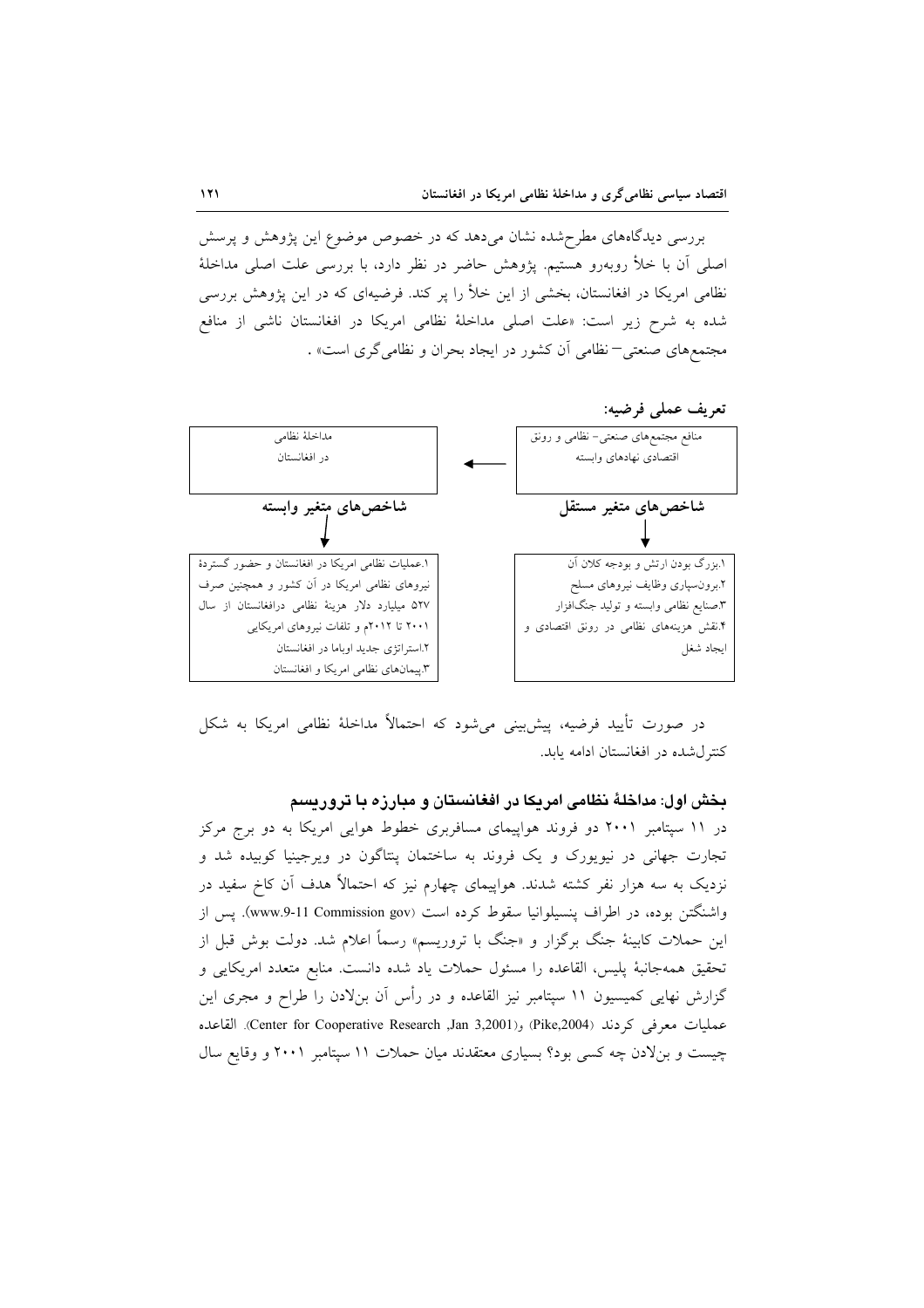بررسی دیدگاههای مطرح شده نشان میدهد که در خصوص موضوع این پژوهش و پرسش اصلی آن با خلأ روبهرو هستیم. پژوهش حاضر در نظر دارد، با بررسی علت اصلی مداخلهٔ نظامی امریکا در افغانستان، بخشی از این خلأ را پر کند. فرضیهای که در این پژوهش بررسی شده به شرح زیر است: «علت اصلی مداخلهٔ نظامی امریکا در افغانستان ناشی از منافع مجتمعهای صنعتی– نظامی آن کشور در ایجاد بحران و نظامی گری است» .



در صورت تأييد فرضيه، پيش بيني مي شود كه احتمالاً مداخلهٔ نظامي امريكا به شكل کنتر ل شده در افغانستان ادامه پابد.

بخش اول: مداخلهٔ نظامی امریکا در افغانستان و مبارزه با تروریسم

در ۱۱ سپتامبر ۲۰۰۱ دو فروند هواپیمای مسافربری خطوط هوایی امریکا به دو برج مرکز تجارت جهانی در نیویورک و یک فروند به ساختمان پنتاگون در ویرجینیا کوبیده شد و نزدیک به سه هزار نفر کشته شدند. هواپیمای چهارم نیز که احتمالاً هدف آن کاخ سفید در واشنگتن بوده، در اطراف پنسیلوانیا سقوط کرده است (www.9-11 Commission gov). پس از این حملات کابینهٔ جنگ برگزار و «جنگ با تروریسم» رسماً اعلام شد. دولت بوش قبل از تحقيق همهجانبة پليس، القاعده را مسئول حملات ياد شده دانست. منابع متعدد امريكايي و گزارش نهایی کمیسیون ۱۱ سیتامبر نیز القاعده و در رأس آن بنلادن را طراح و مجری این عمليات معرفي كردند (Pike,2004) و(Pike,2004) Fike, Cooperative Research ,Jan 3,2001). القاعده چیست و بنلادن چه کسی بود؟ بسیاری معتقدند میان حملات ١١ سپتامبر ٢٠٠١ و وقایع سال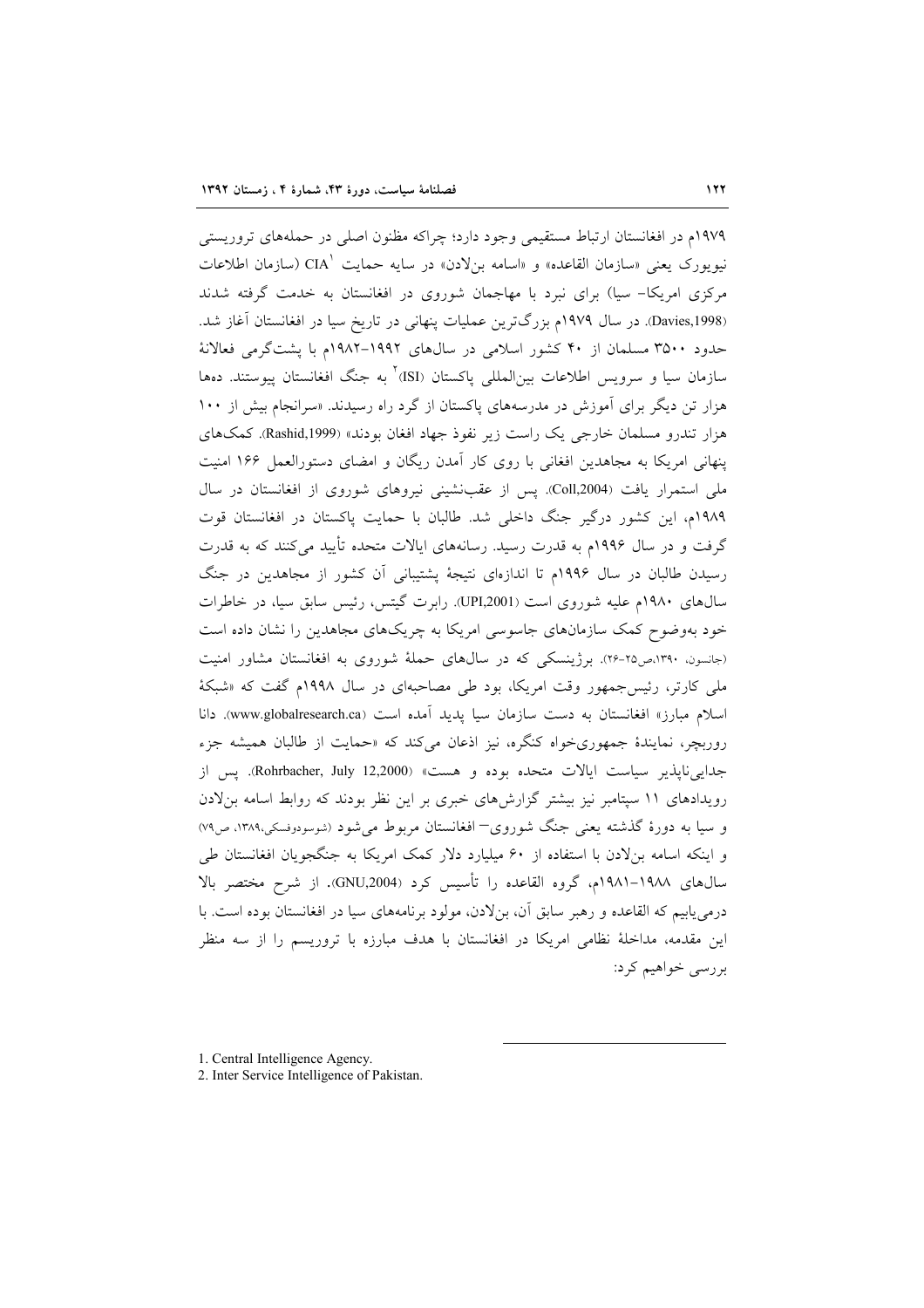١٩٧٩م در افغانستان ارتباط مستقيمي وجود دارد؛ چراكه مظنون اصلي در حملههاي تروريستي نيويورک يعني «سازمان القاعده» و «اسامه بنلادن» در سايه حمايت CIA (سازمان اطلاعات مرکزی امریکا- سیا) برای نبرد با مهاجمان شوروی در افغانستان به خدمت گرفته شدند (Davies,1998). در سال ۱۹۷۹م بزرگترین عملیات پنهانی در تاریخ سیا در افغانستان آغاز شد. حدود ۳۵۰۰ مسلمان از ۴۰ کشور اسلامی در سالهای ۱۹۹۲–۱۹۸۲م با پشتگرمی فعالانهٔ سازمان سيا و سرويس اطلاعات بين|لمللي ياكستان (ISI)<sup>٢</sup> به جنگ افغانستان پيوستند. دهها هزار تن دیگر برای آموزش در مدرسههای پاکستان از گرد راه رسیدند. «سرانجام بیش از ۱۰۰ هزار تندرو مسلمان خارجي يک راست زير نفوذ جهاد افغان بودند» (Rashid,1999). کمکهاي پنهانی امریکا به مجاهدین افغانی با روی کار آمدن ریگان و امضای دستورالعمل ۱۶۶ امنیت ملی استمرار یافت (Coll,2004). پس از عقبنشینی نیروهای شوروی از افغانستان در سال ١٩٨٩م، اين كشور درگير جنگ داخلي شد. طالبان با حمايت پاكستان در افغانستان قوت گرفت و در سال ۱۹۹۶م به قدرت رسید. رسانههای ایالات متحده تأیید میکنند که به قدرت رسیدن طالبان در سال ۱۹۹۶م تا اندازهای نتیجهٔ پشتیبانی آن کشور از مجاهدین در جنگ سال های ۱۹۸۰م علیه شوروی است (UPI,2001). رابرت گیتس، رئیس سابق سیا، در خاطرات خود بهوضوح کمک سازمانهای جاسوسی امریکا به چریکهای مجاهدین را نشان داده است (جانسون، ۱۳۹۰،ص۲۵-۲۶). برژینسکی که در سالهای حملهٔ شوروی به افغانستان مشاور امنیت ملی کارتر، رئیس جمهور وقت امریکا، بود طی مصاحبهای در سال ۱۹۹۸م گفت که «شبکهٔ اسلام مبارز» افغانستان به دست سازمان سيا پديد آمده است (www.globalresearch.ca). دانا روربچر، نمایندهٔ جمهوریخواه کنگره، نیز اذعان میکند که «حمایت از طالبان همیشه جزء جدايي ناپذير سياست ايالات متحده بوده و هست» (Rohrbacher, July 12,2000). پس از رویدادهای ۱۱ سپتامبر نیز بیشتر گزارشهای خبری بر این نظر بودند که روابط اسامه بنلادن و سیا به دورهٔ گذشته یعنی جنگ شوروی– افغانستان مربوط می شود (شوسودوفسکی،۱۳۸۹، ص۷۹) و اینکه اسامه بنلادن با استفاده از ۶۰ میلیارد دلار کمک امریکا به جنگجویان افغانستان طی سال های ۱۹۸۸-۱۹۸۱م، گروه القاعده را تأسیس کرد (GNU,2004). از شرح مختصر بالا درمی پابیم که القاعده و رهبر سابق آن، بنلادن، مولود برنامههای سیا در افغانستان بوده است. با این مقدمه، مداخلهٔ نظامی امریکا در افغانستان با هدف مبارزه با تروریسم را از سه منظر بررسي خواهيم كرد:

<sup>1.</sup> Central Intelligence Agency.

<sup>2.</sup> Inter Service Intelligence of Pakistan.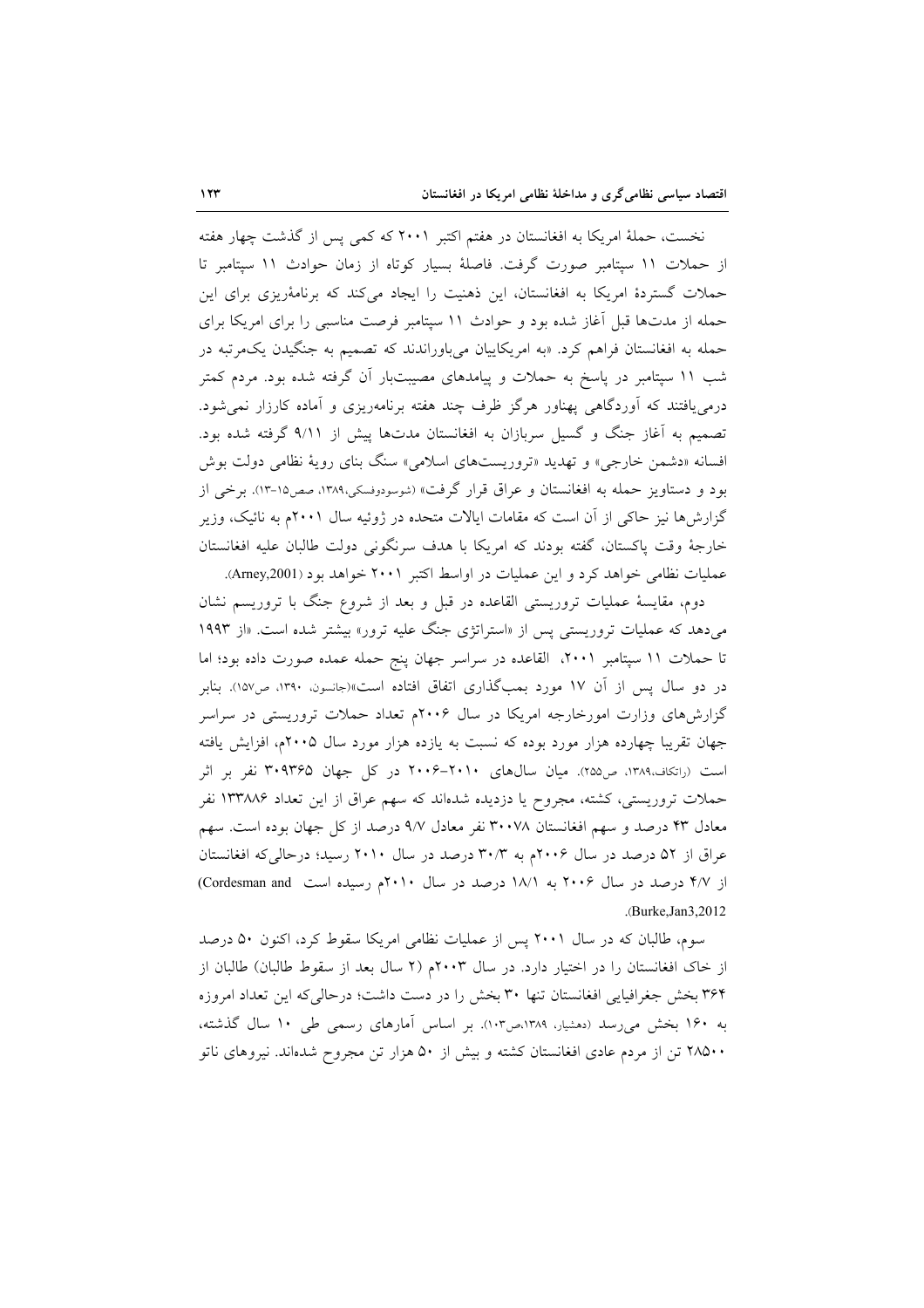نخست، حملهٔ امریکا به افغانستان در هفتم اکتبر ۲۰۰۱ که کمی پس از گذشت چهار هفته از حملات ١١ سيتامبر صورت گرفت. فاصلهٔ بسيار كوتاه از زمان حوادث ١١ سيتامبر تا حملات گستردهٔ امریکا به افغانستان، این ذهنیت را ایجاد میکند که برنامهٔریزی برای این حمله از مدتها قبل آغاز شده بود و حوادث ١١ سپتامبر فرصت مناسبي را براي امريكا براي حمله به افغانستان فراهم کرد. «به امریکاییان میباوراندند که تصمیم به جنگیدن یکمرتبه در شب ۱۱ سپتامبر در پاسخ به حملات و پیامدهای مصیبتبار آن گرفته شده بود. مردم کمتر درمی یافتند که آوردگاهی پهناور هرگز ظرف چند هفته برنامهریزی و آماده کارزار نمی شود. تصمیم به آغاز جنگ و گسیل سربازان به افغانستان مدتها پیش از ۹/۱۱ گرفته شده بود. افسانه «دشمن خارجی» و تهدید «تروریستهای اسلامی» سنگ بنای رویهٔ نظامی دولت بوش بود و دستاویز حمله به افغانستان و عراق قرار گرفت» (شوسودوفسکی،۱۳۸۹، صص۱۵-۱۳). برخی از گزارشها نیز حاکی از آن است که مقامات ایالات متحده در ژوئیه سال ۲۰۰۱م به نائیک، وزیر خارجهٔ وقت پاکستان، گفته بودند که امریکا با هدف سرنگونی دولت طالبان علیه افغانستان عملیات نظامی خواهد کرد و این عملیات در اواسط اکتبر ۲۰۰۱ خواهد بود (Arney,2001).

دوم، مقایسهٔ عملیات تروریستی القاعده در قبل و بعد از شروع جنگ با تروریسم نشان میدهد که عملیات تروریستی پس از «استراتژی جنگ علیه ترور» بیشتر شده است. «از ۱۹۹۳ تا حملات ١١ سپتامبر ٢٠٠١، القاعده در سراسر جهان پنج حمله عمده صورت داده بود؛ اما در دو سال پس از آن ۱۷ مورد بمبگذاری اتفاق افتاده است»(جانسون، ۱۳۹۰، ص۱۵۷). بنابر گزارشهای وزارت امورخارجه امریکا در سال ۲۰۰۶م تعداد حملات تروریستی در سراسر جهان تقریبا چهارده هزار مورد بوده که نسبت به یازده هزار مورد سال ۲۰۰۵م، افزایش یافته است (راتکاف،۱۳۸۹، ص۲۵۵). میان سالهای ۲۰۱۰–۲۰۰۶ در کل جهان ۳۰۹۳۶۵ نفر بر اثر حملات تروریستی، کشته، مجروح یا دزدیده شدهاند که سهم عراق از این تعداد ۱۳۳۸۸۶ نفر معادل ۴۳ درصد و سهم افغانستان ۳۰۰۷۸ نفر معادل ۹/۷ درصد از کل جهان بوده است. سهم عراق از ۵۲ درصد در سال ۲۰۰۶م به ۳۰/۳ درصد در سال ۲۰۱۰ رسید؛ درحالیکه افغانستان از ۴/۷ درصد در سال ۲۰۰۶ به ۱۸/۱ درصد در سال ۲۰۱۰م رسیده است Cordesman and) .(Burke.Jan3.2012).

سوم، طالبان که در سال ۲۰۰۱ پس از عملیات نظامی امریکا سقوط کرد، اکنون ۵۰ درصد از خاک افغانستان را در اختیار دارد. در سال ۲۰۰۳م (۲ سال بعد از سقوط طالبان) طالبان از ۳۶۴ بخش جغرافیایی افغانستان تنها ۳۰ بخش را در دست داشت؛ درحالی که این تعداد امروزه به ۱۶۰ بخش می رسد (دهشیار، ۱۳۸۹،ص۱۰۳). بر اساس آمارهای رسمی طی ۱۰ سال گذشته، ۲۸۵۰۰ تن از مردم عادی افغانستان کشته و بیش از ۵۰ هزار تن مجروح شدهاند. نیروهای ناتو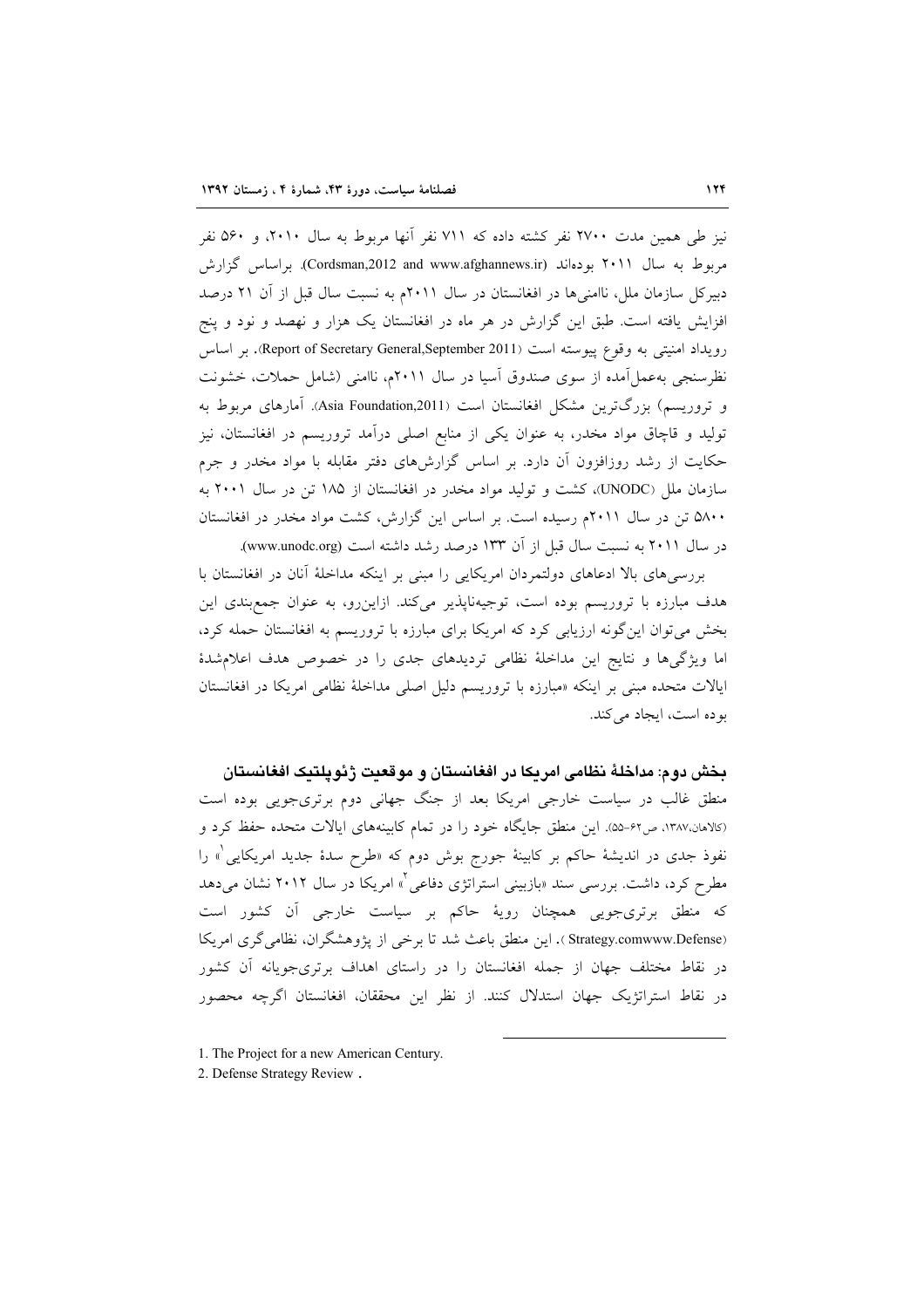نیز طی همین مدت ۲۷۰۰ نفر کشته داده که ۷۱۱ نفر آنها مربوط به سال ۲۰۱۰، و ۵۶۰ نفر مربوط به سال ۲۰۱۱ بودهاند (Cordsman,2012 and www.afghannews.ir). براساس گزارش دبیرکل سازمان ملل، ناامنیها در افغانستان در سال ۲۰۱۱م به نسبت سال قبل از آن ۲۱ درصد افزایش یافته است. طبق این گزارش در هر ماه در افغانستان یک هزار و نهصد و نود و پنج رويداد امنيتي به وقوع پيوسته است (Report of Secretary General,September 2011). بر اساس نظرسنجی به عمل آمده از سوی صندوق آسیا در سال ۲۰۱۱م، ناامنی (شامل حملات، خشونت و تروریسم) بزرگترین مشکل افغانستان است (Asia Foundation,2011). آمارهای مربوط به تولید و قاچاق مواد مخدر، به عنوان یکی از منابع اصلی درآمد تروریسم در افغانستان، نیز حکایت از رشد روزافزون آن دارد. بر اساس گزارشهای دفتر مقابله با مواد مخدر و جرم سازمان ملل (UNODC)، کشت و تولید مواد مخدر در افغانستان از ۱۸۵ تن در سال ۲۰۰۱ به ۵۸۰۰ تن در سال ۲۰۱۱م رسیده است. بر اساس این گزارش، کشت مواد مخدر در افغانستان در سال ۲۰۱۱ به نسبت سال قبل از آن ۱۳۳ درصد رشد داشته است (www.unodc.org).

بررسیههای بالا ادعاهای دولتمردان امریکایی را مبنی بر اینکه مداخلهٔ آنان در افغانستان با هدف مبارزه با تروریسم بوده است، توجیهناپذیر میکند. ازاین رو، به عنوان جمع بندی این بخش می توان این گونه ارزیابی کرد که امریکا برای مبارزه با تروریسم به افغانستان حمله کرد، اما ویژگیها و نتایج این مداخلهٔ نظامی تردیدهای جدی را در خصوص هدف اعلام شدهٔ ایالات متحده مبنی بر اینکه «مبارزه با تروریسم دلیل اصلی مداخلهٔ نظامی امریکا در افغانستان بو ده است، ایجاد می کند.

بخش دوم: مداخلهٔ نظامی امریکا در افغانستان و موقعیت ژئوپلتیک افغانستان منطق غالب در سیاست خارجی امریکا بعد از جنگ جهانی دوم برتریجویی بوده است (كالاهان،١٣٨٧، ص۶۲-۵۵). اين منطق جايگاه خود را در تمام كابينههاي ايالات متحده حفظ كرد و نفوذ جدی در اندیشهٔ حاکم بر کابینهٔ جورج بوش دوم که «طرح سدهٔ جدید امریکایی<sup>(</sup>» را مطرح کرد، داشت. بررسی سند «بازبینی استراتژی دفاعی<sup>؟</sup>» امریکا در سال ۲۰۱۲ نشان می دهد که منطق برتریجویی همچنان رویهٔ حاکم بر سیاست خارجی آن کشور است (Strategy.comwww.Defense). این منطق باعث شد تا برخی از پژوهشگران، نظامیگری امریکا در نقاط مختلف جهان از جمله افغانستان را در راستای اهداف برتریجویانه آن کشور در نقاط استراتژیک جهان استدلال کنند. از نظر این محققان، افغانستان اگرچه محصور

- 1. The Project for a new American Century.
- 2. Defense Strategy Review.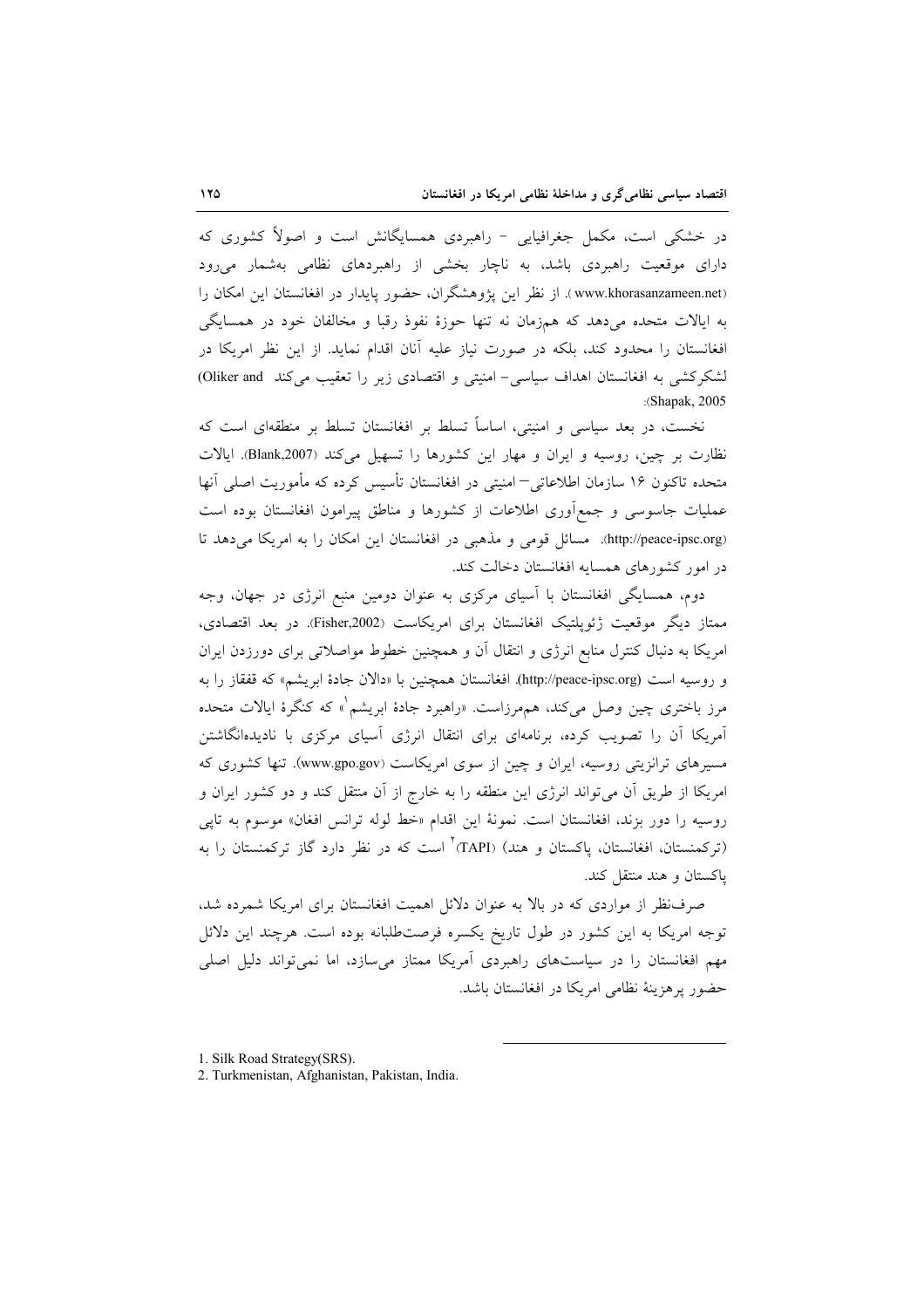در خشکی است، مکمل جغرافیایی - راهبردی همسایگانش است و اصولاً کشوری که دارای موقعیت راهبردی باشد، به ناچار بخشی از راهبردهای نظامی بهشمار میرود (www.khorasanzameen.net). از نظر این پژوهشگران، حضور پایدار در افغانستان این امکان را به ایالات متحده میدهد که همزمان نه تنها حوزهٔ نفوذ رقبا و مخالفان خود در همسایگی افغانستان را محدود کند، بلکه در صورت نیاز علیه آنان اقدام نماید. از این نظر امریکا در لشکرکشی به افغانستان اهداف سیاسی- امنیتی و اقتصادی زیر را تعقیب میکند Oliker and) :(Shapak, 2005

نخست، در بعد سیاسی و امنیتی، اساساً تسلط بر افغانستان تسلط بر منطقهای است که نظارت بر چین، روسیه و ایران و مهار این کشورها را تسهیل میکند (Blank,2007). ایالات متحده تاکنون ۱۶ سازمان اطلاعاتی–امنیتی در افغانستان تأسیس کرده که مأموریت اصلی آنها عملیات جاسوسی و جمع|َوری اطلاعات از کشورها و مناطق پیرامون افغانستان بوده است (http://peace-ipsc.org). مسائل قومی و مذهبی در افغانستان این امکان را به امریکا می دهد تا در امور کشورهای همسایه افغانستان دخالت کند.

دوم، همسایگی افغانستان با آسیای مرکزی به عنوان دومین منبع انرژی در جهان، وجه ممتاز دیگر موقعیت ژئوپلتیک افغانستان برای امریکاست (Fisher,2002). در بعد اقتصادی، امریکا به دنبال کنترل منابع انرژی و انتقال آن و همچنین خطوط مواصلاتی برای دورزدن ایران و روسيه است (http://peace-ipsc.org). افغانستان همچنين با «دالان جادهٔ ابريشم» كه قفقاز را به مرز باختری چین وصل میکند، همهرزاست. «راهبرد جادهٔ ابریشم<sup>"</sup>» که کنگرهٔ ایالات متحده آمریکا آن را تصویب کرده، برنامهای برای انتقال انرژی آسیای مرکزی با نادیدهانگاشتن مسیرهای ترانزیتی روسیه، ایران و چین از سوی امریکاست (www.gpo.gov). تنها کشوری که امریکا از طریق آن میتواند انرژی این منطقه را به خارج از آن منتقل کند و دو کشور ایران و روسیه را دور بزند، افغانستان است. نمونهٔ این اقدام «خط لوله ترانس افغان» موسوم به تاپی (ترکمنستان، افغانستان، پاکستان و هند) (TAPI) است که در نظر دارد گاز ترکمنستان را به باکستان و هند منتقل کند.

صرف نظر از مواردی که در بالا به عنوان دلائل اهمیت افغانستان برای امریکا شمرده شد، توجه امریکا به این کشور در طول تاریخ یکسره فرصتطلبانه بوده است. هرچند این دلائل مهم افغانستان را در سیاستهای راهبردی آمریکا ممتاز می سازد، اما نمی تواند دلیل اصلی حضور يوهزينة نظامي امريكا در افغانستان باشد.

<sup>1.</sup> Silk Road Strategy(SRS).

<sup>2.</sup> Turkmenistan, Afghanistan, Pakistan, India.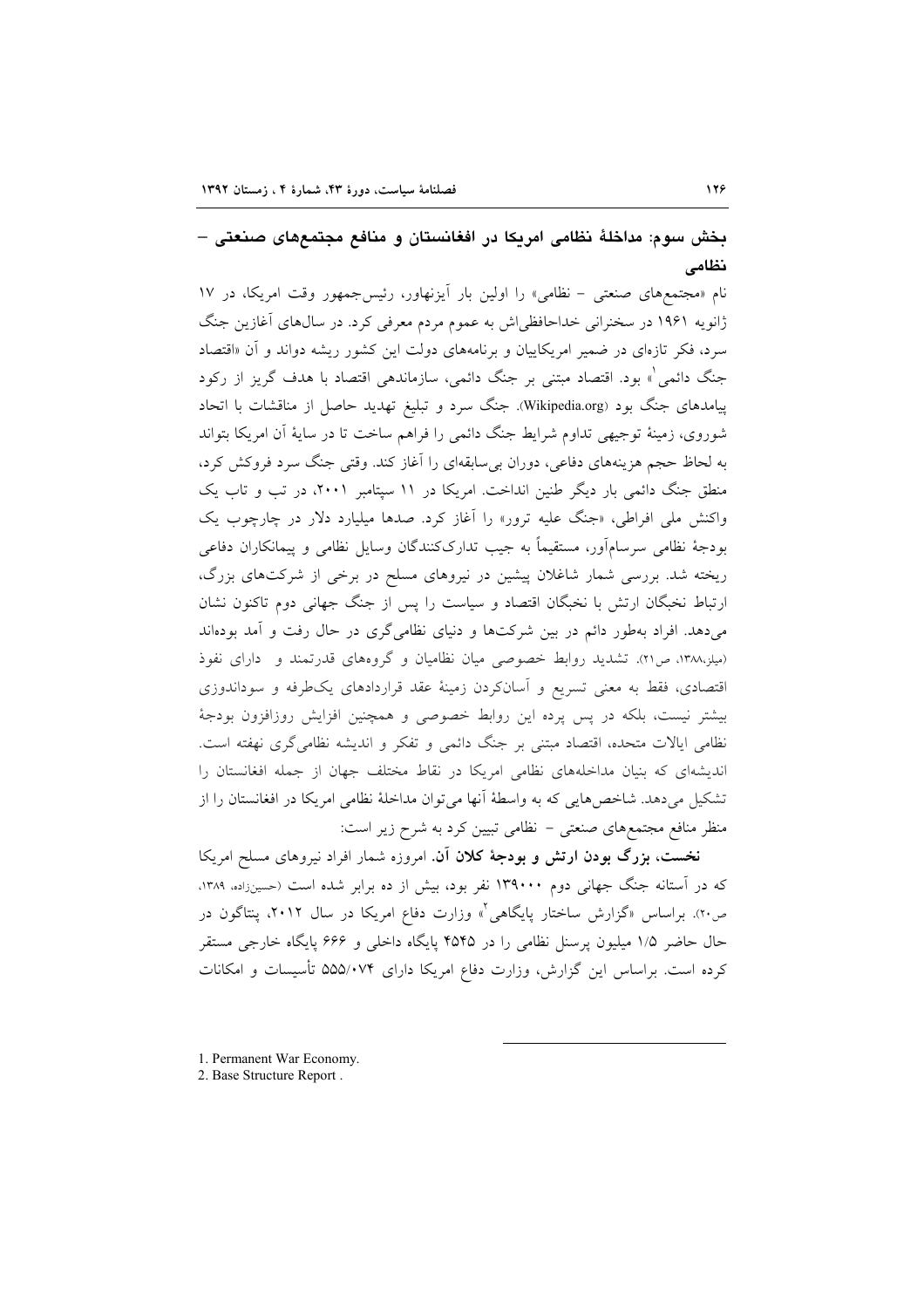## بخش سوم: مداخلهٔ نظامی امریکا در افغانستان و منافع مجتمعهای صنعتی – نظامى

نام «مجتمعهای صنعتی - نظامی» را اولین بار آیزنهاور، رئیس جمهور وقت امریکا، در ١٧ ژانویه ۱۹۶۱ در سخنرانی خداحافظیاش به عموم مردم معرفی کرد. در سال۵ای آغازین جنگ سرد، فکر تازهای در ضمیر امریکاییان و برنامههای دولت این کشور ریشه دواند و آن «اقتصاد جنگ دائمی ْ» بود. اقتصاد مبتنی بر جنگ دائمی، سازماندهی اقتصاد با هدف گریز از رکود پیامدهای جنگ بود (Wikipedia.org). جنگ سرد و تبلیغ تهدید حاصل از مناقشات با اتحاد شوروی، زمینهٔ توجیهی تداوم شرایط جنگ دائمی را فراهم ساخت تا در سایهٔ آن امریکا بتواند به لحاظ حجم هزینههای دفاعی، دوران بی سابقهای را آغاز کند. وقتی جنگ سرد فروکش کرد، منطق جنگ دائمی بار دیگر طنین انداخت. امریکا در ۱۱ سپتامبر ۲۰۰۱، در تب و تاب یک واکنش مل<sub>ی</sub> افراطی، «جنگ علیه ترور» را آغاز کرد. صدها میلیارد دلار در چارچوب یک بودجهٔ نظامی سرسامآور، مستقیماً به جیب تدارککنندگان وسایل نظامی و پیمانکاران دفاعی ریخته شد. بررسی شمار شاغلان پیشین در نیروهای مسلح در برخی از شرکتهای بزرگ، ارتباط نخبگان ارتش با نخبگان اقتصاد و سیاست را پس از جنگ جهانی دوم تاکنون نشان میدهد. افراد بهطور دائم در بین شرکتها و دنیای نظامیگری در حال رفت و آمد بودهاند (میلز،۱۳۸۸، ص ٢١). تشدید روابط خصوصی میان نظامیان و گروههای قدرتمند و دارای نفوذ اقتصادی، فقط به معنی تسریع و آسانکردن زمینهٔ عقد قراردادهای یکطرفه و سوداندوزی بیشتر نیست، بلکه در پس پرده این روابط خصوصی و همچنین افزایش روزافزون بودجهٔ نظامی ایالات متحده، اقتصاد مبتنی بر جنگ دائمی و تفکر و اندیشه نظامی گری نهفته است. اندیشهای که بنیان مداخلههای نظامی امریکا در نقاط مختلف جهان از جمله افغانستان را تشکیل میدهد. شاخصهایی که به واسطهٔ آنها می توان مداخلهٔ نظامی امریکا در افغانستان را از منظر منافع مجتمعهای صنعتی – نظامی تبیین کرد به شرح زیر است:

نخست، بزرگ بودن ارتش و بودجهٔ کلان آن. امروزه شمار افراد نیروهای مسلح امریکا که در آستانه جنگ جهانی دوم ۱۳۹۰۰۰ نفر بود، بیش از ده برابر شده است (حسینزاده، ۱۳۸۹، ص۲۰). براساس «گزارش ساختار پایگاهی<sup>۲</sup>» وزارت دفاع امریکا در سال ۲۰۱۲، پنتاگون در حال حاضر ۱/۵ میلیون پرسنل نظامی را در ۴۵۴۵ پایگاه داخلی و ۶۶۶ پایگاه خارجی مستقر کرده است. براساس این گزارش، وزارت دفاع امریکا دارای ۵۵۵/۰۷۴ تأسیسات و امکانات

1. Permanent War Economy.

<sup>2.</sup> Base Structure Report.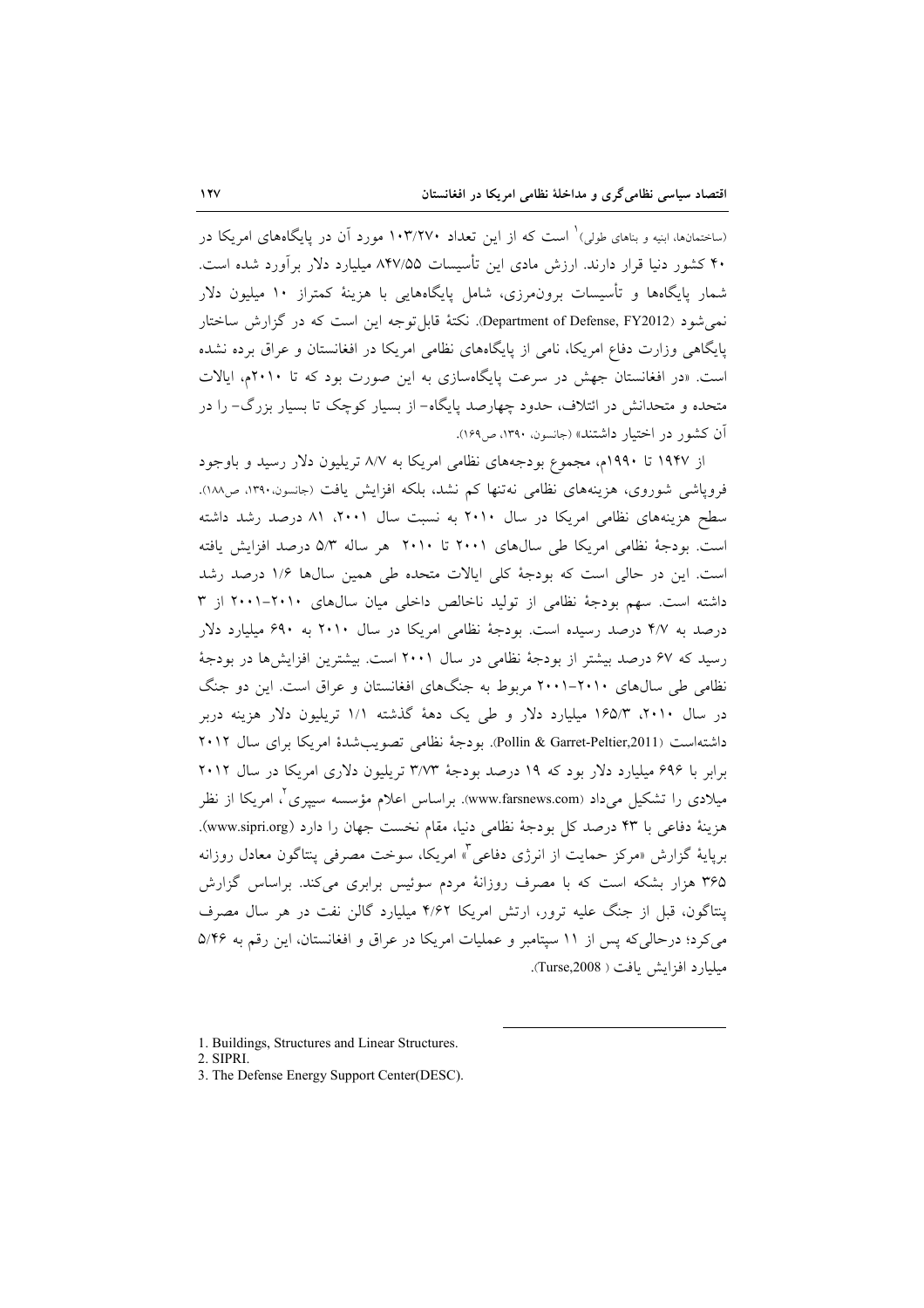(ساختمانها، ابنیه و بناهای طولی) ٰ است که از این تعداد ۱۰۳/۲۷۰ مورد آن در پایگاههای امریکا در ۴۰ کشور دنیا قرار دارند. ارزش مادی این تأسیسات ۸۴۷/۵۵ میلیارد دلار برآورد شده است. شمار پایگاهها و تأسیسات برون.مرزی، شامل پایگاههایی با هزینهٔ کمتراز ۱۰ میلیون دلار نمي شود (Department of Defense, FY2012). نكتهٔ قابل توجه اين است كه در گزارش ساختار پایگاهی وزارت دفاع امریکا، نامی از پایگاههای نظامی امریکا در افغانستان و عراق برده نشده است. «در افغانستان جهش در سرعت پایگاهسازی به این صورت بود که تا ۲۰۱۰م، ایالات متحده و متحدانش در ائتلاف، حدود چهارصد پایگاه– از بسیار کوچک تا بسیار بزرگ– را در آن كشور در اختيار داشتند» (جانسون. ١٣٩٠، ص١۶٩).

از ۱۹۴۷ تا ۱۹۹۰م، مجموع بودجههای نظامی امریکا به ۸/۷ تریلیون دلار رسید و باوجود فروپاشی شوروی، هزینههای نظامی نهتنها کم نشد، بلکه افزایش یافت (جانسون،۱۳۹۰، ص۱۸۸). سطح هزینههای نظامی امریکا در سال ۲۰۱۰ به نسبت سال ۲۰۰۱، ۸۱ درصد رشد داشته است. بودجة نظامي امريكا طي سالهاي ٢٠٠١ تا ٢٠١٠ هر ساله ٥/٣ درصد افزايش يافته است. این در حالی است که بودجهٔ کلی ایالات متحده طی همین سالها ۱/۶ درصد رشد داشته است. سهم بودجهٔ نظامی از تولید ناخالص داخلی میان سالهای ۲۰۱۰-۲۰۰۱ از ۳ درصد به ۴/۷ درصد رسیده است. بودجهٔ نظامی امریکا در سال ۲۰۱۰ به ۶۹۰ میلیارد دلار رسید که ۶۷ درصد بیشتر از بودجهٔ نظامی در سال ۲۰۰۱ است. بیشترین افزایشها در بودجهٔ نظامی طی سالهای ۲۰۱۰-۲۰۱۱ مربوط به جنگهای افغانستان و عراق است. این دو جنگ در سال ۲۰۱۰، ۱۶۵/۳ میلیارد دلار و طی یک دههٔ گذشته ۱/۱ تریلیون دلار هزینه دربر داشتهاست (Pollin & Garret-Peltier,2011). بودجة نظامي تصويب شدة امريكا براي سال ٢٠١٢ برابر با ۶۹۶ میلیارد دلار بود که ۱۹ درصد بودجهٔ ۳/۷۳ تریلیون دلاری امریکا در سال ۲۰۱۲ میلادی را تشکیل میداد (www.farsnews.com). براساس اعلام مؤسسه سیپری ٌ، امریکا از نظر هزينة دفاعي با ۴۳ درصد كل بودجة نظامي دنيا، مقام نخست جهان را دارد (www.sipri.org). برپایهٔ گزارش «مرکز حمایت از انرژی دفاعی<sup>۳</sup>» امریکا، سوخت مصرفی پنتاگون معادل روزانه ۳۶۵ هزار بشکه است که با مصرف روزانهٔ مردم سوئیس برابری میکند. براساس گزارش پنتاگون، قبل از جنگ علیه ترور، ارتش امریکا ۴/۶۲ میلیارد گالن نفت در هر سال مصرف می کرد؛ درحالی که پس از ۱۱ سپتامبر و عملیات امریکا در عراق و افغانستان، این رقم به ۵/۴۶ ميليارد افزايش يافت ( Turse,2008).

<sup>1.</sup> Buildings, Structures and Linear Structures.

<sup>2.</sup> SIPRI.

<sup>3.</sup> The Defense Energy Support Center(DESC).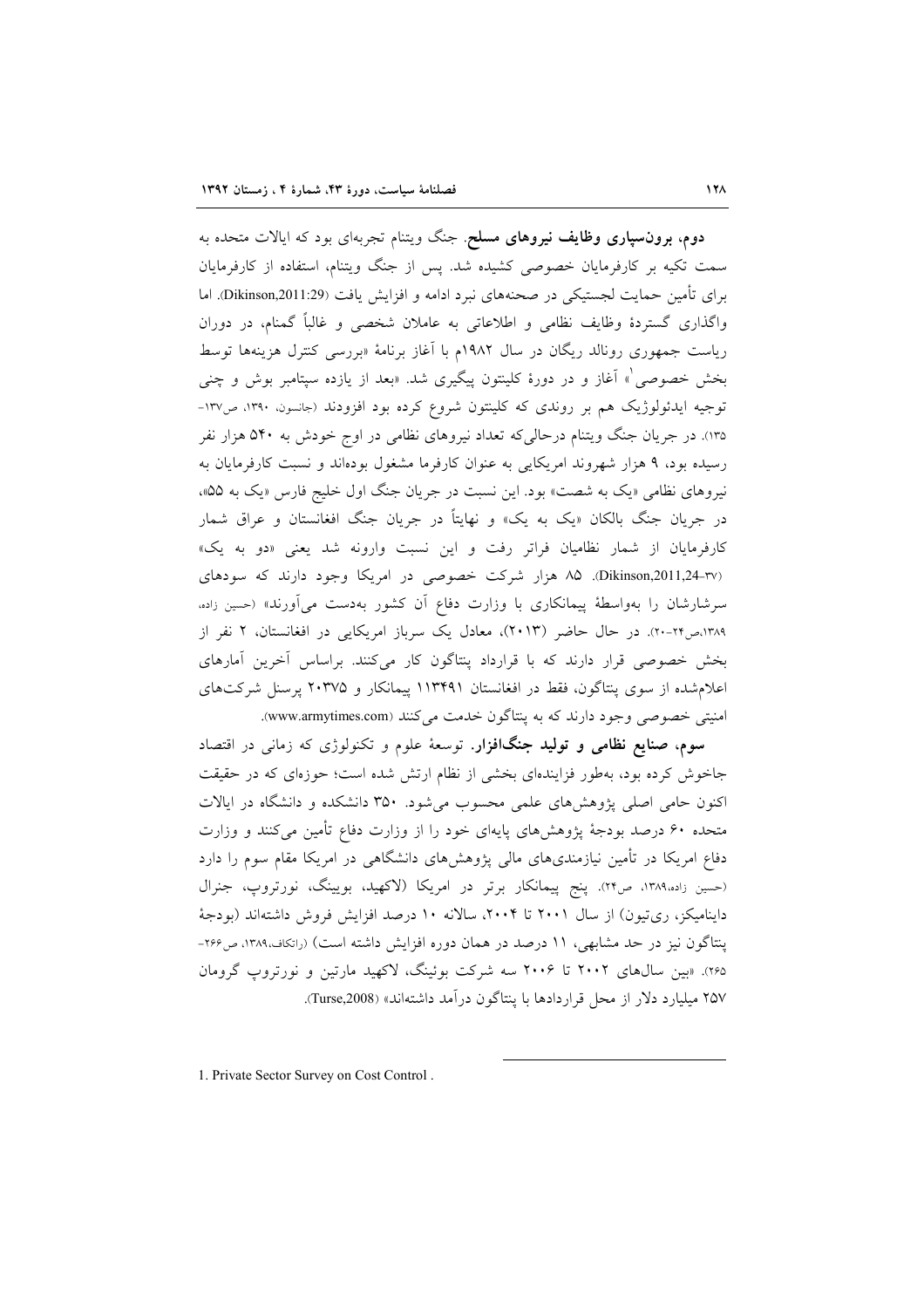**دوم، برونسپاری وظایف نیروهای مسلح**. جنگ ویتنام تجربهای بود که ایالات متحده به سمت تکیه بر کارفرمایان خصوصی کشیده شد. پس از جنگ ویتنام، استفاده از کارفرمایان برای تأمین حمایت لجستیکی در صحنههای نبرد ادامه و افزایش یافت (Dikinson,2011:29). اما واگذاری گستردهٔ وظایف نظامی و اطلاعاتی به عاملان شخصی و غالباً گمنام، در دوران ریاست جمهوری رونالد ریگان در سال ۱۹۸۲م با آغاز برنامهٔ «بررسی کنترل هزینهها توسط بخش خصوصی ْ» اَغاز و در دورهٔ کلینتون پیگیری شد. «بعد از یازده سپتامبر بوش و چنبی توجیه ایدئولوژیک هم بر روندی که کلینتون شروع کرده بود افزودند (جانسون، ۱۳۹۰، ص۱۳۷-۱۳۵). در جریان جنگ ویتنام درحالی که تعداد نیروهای نظامی در اوج خودش به ۵۴۰ هزار نفر رسیده بود، ۹ هزار شهروند امریکایی به عنوان کارفرما مشغول بودهاند و نسبت کارفرمایان به نیروهای نظامی «یک به شصت» بود. این نسبت در جریان جنگ اول خلیج فارس «یک به ۵۵»، در جریان جنگ بالکان «یک به یک» و نهایتاً در جریان جنگ افغانستان و عراق شمار کارفرمایان از شمار نظامیان فراتر رفت و این نسبت وارونه شد یعنی «دو به یک» (Dikinson,2011,24-rv). ۸۵ هزار شرکت خصوصی در امریکا وجود دارند که سودهای سرشارشان را بهواسطهٔ پیمانکاری با وزارت دفاع آن کشور بهدست میآورند» (حسین زاده، ۱۳۸۹،ص۲۰-۲۰). در حال حاضر (۲۰۱۳)، معادل یک سرباز امریکایی در افغانستان، ۲ نفر از بخش خصوصی قرار دارند که با قرارداد پنتاگون کار میکنند. براساس آخرین آمارهای اعلام شده از سوی پنتاگون، فقط در افغانستان ۱۱۳۴۹۱ پیمانکار و ۲۰۳۷۵ پرسنل شرکتهای امنیتی خصوصی وجود دارند که به پنتاگون خدمت میکنند (www.armytimes.com).

سوم، صنایع نظامی و تولید جنگافزار. توسعهٔ علوم و تکنولوژی که زمان<sub>ی</sub> در اقتصاد جاخوش کرده بود، بهطور فزایندهای بخشی از نظام ارتش شده است؛ حوزهای که در حقیقت اکنون حامی اصلی پژوهشهای علمی محسوب میشود. ۳۵۰ دانشکده و دانشگاه در ایالات متحده ۶۰ درصد بودجهٔ پژوهشهای پایهای خود را از وزارت دفاع تأمین میکنند و وزارت دفاع امریکا در تأمین نیازمندیهای مالی پژوهشهای دانشگاهی در امریکا مقام سوم را دارد (حسین زاده،۱۳۸۹، ص۲۴). پنج پیمانکار برتر در امریکا (لاکهید، بویینگ، نورتروپ، جنرال داینامیکز، ریتیون) از سال ۲۰۰۱ تا ۲۰۰۴، سالانه ۱۰ درصد افزایش فروش داشتهاند (بودجهٔ ینتاگون نیز در حد مشابهی، ۱۱ درصد در همان دوره افزایش داشته است) (رانکاف،۱۳۸۹، ص۲۶۶-۲۶۵). «بین سال های ۲۰۰۲ تا ۲۰۰۶ سه شرکت بوئینگ، لاکهید مارتین و نورتروپ گرومان ۲۵۷ میلیارد دلار از محل قراردادها با پنتاگون در آمد داشتهاند» (Turse,2008).

1. Private Sector Survey on Cost Control.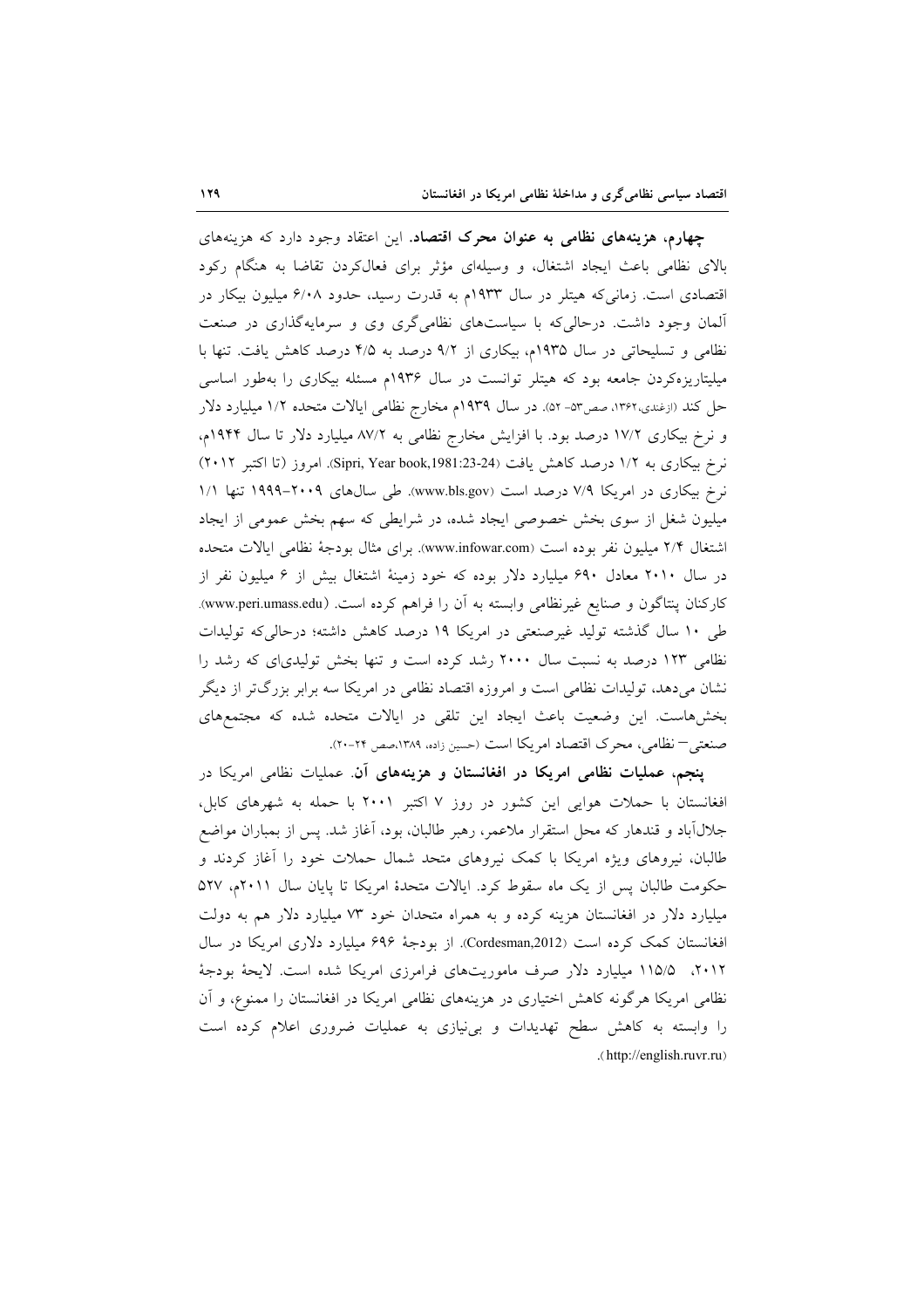چهارم، هزینههای نظامی به عنوان محرک اقتصاد. این اعتقاد وجود دارد که هزینههای بالای نظامی باعث ایجاد اشتغال، و وسیلهای مؤثر برای فعالکردن تقاضا به هنگام رکود اقتصادی است. زمانیکه هیتلر در سال ۱۹۳۳م به قدرت رسید، حدود ۶/۰۸ میلیون بیکار در آلمان وجود داشت. درحالی که با سیاستهای نظامیگری وی و سرمایهگذاری در صنعت نظامی و تسلیحاتی در سال ۱۹۳۵م، بیکاری از ۹/۲ درصد به ۴/۵ درصد کاهش یافت. تنها با میلیتاریزهکردن جامعه بود که هیتلر توانست در سال ۱۹۳۶م مسئله بیکاری را بهطور اساسی حل کند (ارغندی،۱۳۶۲، صص۵۳- ۵۲). در سال ۱۹۳۹م مخارج نظامی ایالات متحده ۱/۲ میلیارد دلار و نرخ بیکاری ۱۷/۲ درصد بود. با افزایش مخارج نظامی به ۸۷/۲ میلیارد دلار تا سال ۱۹۴۴م، نرخ بیکاری به ۱/۲ درصد کاهش یافت (Sipri, Year book,1981:23-24). امروز (تا اکتبر ۲۰۱۲) نرخ بیکاری در امریکا ۷/۹ درصد است (www.bls.gov). طی سالهای ۲۰۰۹–۱۹۹۹ تنها ۱/۱ میلیون شغل از سوی بخش خصوصی ایجاد شده، در شرایطی که سهم بخش عمومی از ایجاد اشتغال ۲/۴ میلیون نفر بوده است (www.infowar.com). برای مثال بودجهٔ نظامی ایالات متحده در سال ۲۰۱۰ معادل ۶۹۰ میلیارد دلار بوده که خود زمینهٔ اشتغال بیش از ۶ میلیون نفر از كاركنان پنتاگون و صنايع غيرنظامي وابسته به آن را فراهم كرده است. (www.peri.umass.edu). طی ۱۰ سال گذشته تولید غیرصنعتی در امریکا ۱۹ درصد کاهش داشته؛ درحالی که تولیدات نظامی ۱۲۳ درصد به نسبت سال ۲۰۰۰ رشد کرده است و تنها بخش تولیدیای که رشد را نشان میدهد، تولیدات نظامی است و امروزه اقتصاد نظامی در امریکا سه برابر بزرگتر از دیگر بخشهاست. این وضعیت باعث ایجاد این تلقی در ایالات متحده شده که مجتمعهای صنعتبي—نظامي، محرك اقتصاد امريكا است (حسين زاده، ١٣٨٩،صص ٢٠-٢٠).

**پنجم، عملیات نظامی امریکا در افغانستان و هزینههای آن**. عملیات نظامی امریکا در افغانستان با حملات هوایی این کشور در روز ۷ اکتبر ۲۰۰۱ با حمله به شهرهای کابل، جلال اباد و قندهار که محل استقرار ملاعمر، رهبر طالبان، بود، اَغاز شد. پس از بمباران مواضع طالبان، نیروهای ویژه امریکا با کمک نیروهای متحد شمال حملات خود را آغاز کردند و حکومت طالبان پس از یک ماه سقوط کرد. ایالات متحدهٔ امریکا تا پایان سال ۲۰۱۱م، ۵۲۷ میلیارد دلار در افغانستان هزینه کرده و به همراه متحدان خود ۷۳ میلیارد دلار هم به دولت افغانستان کمک کرده است (Cordesman,2012). از بودجهٔ ۶۹۶ میلیارد دلاری امریکا در سال ۲۰۱۲، ۱۱۵/۵ میلیارد دلار صرف ماموریتهای فرامرزی امریکا شده است. لایحهٔ بودجهٔ نظامی امریکا هرگونه کاهش اختیاری در هزینههای نظامی امریکا در افغانستان را ممنوع، و آن را وابسته به کاهش سطح تهدیدات و بی نیازی به عملیات ضروری اعلام کرده است .(http://english.ruvr.ru)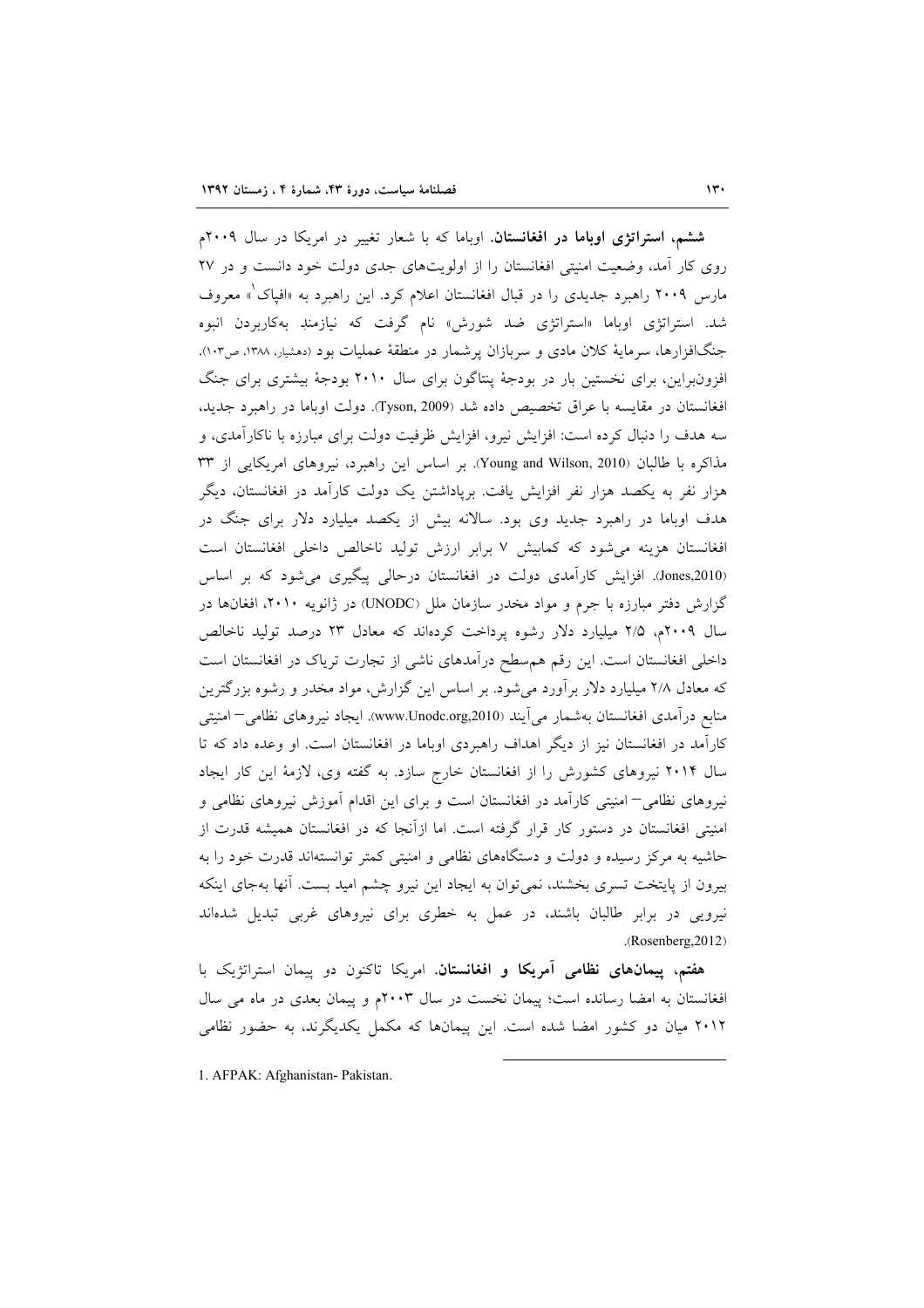ششم، استراتژی اوباما در افغانستان. اوباما که با شعار تغییر در امریکا در سال ۲۰۰۹م روی کار آمد، وضعیت امنیتی افغانستان را از اولویتهای جدی دولت خود دانست و در ۲۷ مارس ۲۰۰۹ راهبرد جدیدی را در قبال افغانستان اعلام کرد. این راهبرد به «افپاک<sup>"</sup>» معروف شد. استراتژی اوباما «استراتژی ضد شورش» نام گرفت که نیازمندِ بهکاربردن انبوه جنگافزارها، سرمایهٔ کلان مادی و سربازان پرشمار در منطقهٔ عملیات بود (دهشیار، ۱۳۸۸، ص۱۰۳). افزونبراین، برای نخستین بار در بودجهٔ پنتاگون برای سال ۲۰۱۰ بودجهٔ بیشتری برای جنگ افغانستان در مقايسه با عراق تخصيص داده شد (Tyson, 2009). دولت اوباما در راهبرد جديد، سه هدف را دنبال کرده است: افزایش نیرو، افزایش ظرفیت دولت برای مبارزه با ناکارآمدی، و مذاکره با طالبان (Young and Wilson, 2010). بر اساس این راهبرد، نیروهای امریکایی از ۳۳ هزار نفر به یکصد هزار نفر افزایش یافت. برپاداشتن یک دولت کارآمد در افغانستان، دیگر هدف اوباما در راهبرد جدید وی بود. سالانه بیش از یکصد میلیارد دلار برای جنگ در افغانستان هزینه می شود که کمابیش ۷ برابر ارزش تولید ناخالص داخلی افغانستان است (Jones,2010). افزایش کارآمدی دولت در افغانستان درحالی پیگیری می شود که بر اساس گزارش دفتر مبارزه با جرم و مواد مخدر سازمان ملل (UNODC) در ژانویه ۲۰۱۰، افغانها در سال ۲۰۰۹م، ۲/۵ میلیارد دلار رشوه پرداخت کردهاند که معادل ۲۳ درصد تولید ناخالص داخلی افغانستان است. این رقم هم سطح درآمدهای ناشی از تجارت تریاک در افغانستان است که معادل ۲/۸ میلیارد دلار برآورد میشود. بر اساس این گزارش، مواد مخدر و رشوه بزرگترین منابع درآمدی افغانستان بهشمار میآیند (www.Unodc.org,2010). ایجاد نیروهای نظامی–امنیتی کارآمد در افغانستان نیز از دیگر اهداف راهبردی اوباما در افغانستان است. او وعده داد که تا سال ۲۰۱۴ نیروهای کشورش را از افغانستان خارج سازد. به گفته وی، لازمهٔ این کار ایجاد نیروهای نظامی—امنیتی کارآمد در افغانستان است و برای این اقدام آموزش نیروهای نظامی و امنیتی افغانستان در دستور کار قرار گرفته است. اما ازآنجا که در افغانستان همیشه قدرت از حاشیه به مرکز رسیده و دولت و دستگاههای نظامی و امنیتی کمتر توانستهاند قدرت خود را به بیرون از پایتخت تسری بخشند، نمیٍتوان به ایجاد این نیرو چشم امید بست. آنها بهجای اینکه نیرویی در برابر طالبان باشند، در عمل به خطری برای نیروهای غربی تبدیل شدهاند .(Rosenberg, 2012)

هفتم، پیمانهای نظامی آمریکا و افغانستان. امریکا تاکنون دو پیمان استراتژیک با افغانستان به امضا رسانده است؛ پیمان نخست در سال ۲۰۰۳م و پیمان بعدی در ماه می سال ۲۰۱۲ میان دو کشور امضا شده است. این پیمانها که مکمل یکدیگرند، به حضور نظامی

1. AFPAK: Afghanistan- Pakistan.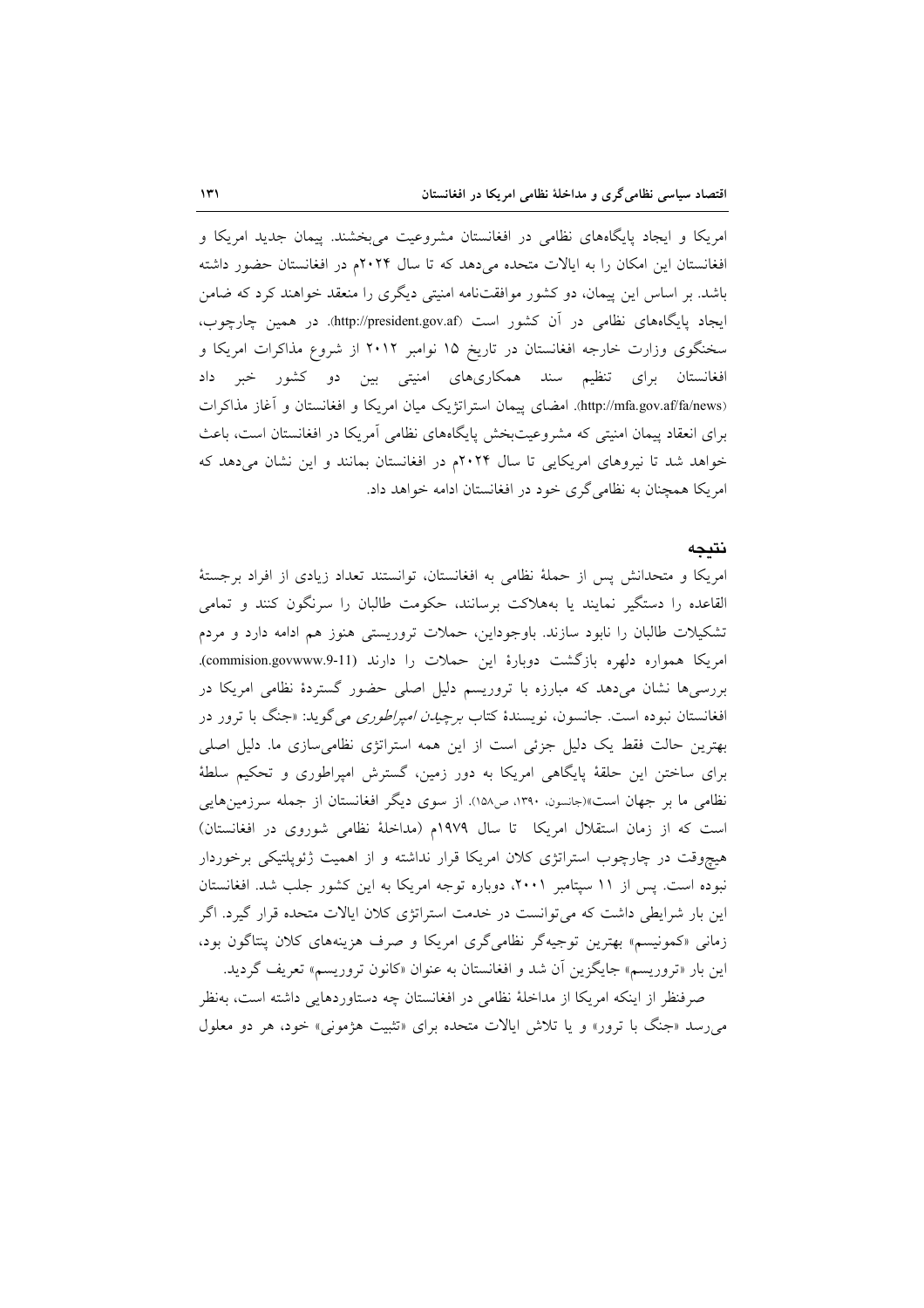امریکا و ایجاد پایگاههای نظامی در افغانستان مشروعیت میبخشند. پیمان جدید امریکا و افغانستان این امکان را به ایالات متحده می دهد که تا سال ۲۰۲۴م در افغانستان حضور داشته باشد. بر اساس این پیمان، دو کشور موافقتنامه امنیتی دیگری را منعقد خواهند کرد که ضامن ایجاد پایگاههای نظامی در آن کشور است (http://president.gov.af). در همین چارچوب، سخنگوی وزارت خارجه افغانستان در تاریخ ۱۵ نوامبر ۲۰۱۲ از شروع مذاکرات امریکا و افغانستان برای تنظیم سند همکاریهای امنیتی بین دو کشور خبر داد (http://mfa.gov.af/fa/news). امضای پیمان استراتژیک میان امریکا و افغانستان و آغاز مذاکرات برای انعقاد پیمان امنیتی که مشروعیتبخش پایگاههای نظامی آمریکا در افغانستان است، باعث خواهد شد تا نیروهای امریکایی تا سال ۲۰۲۴م در افغانستان بمانند و این نشان می دهد که امریکا همچنان به نظامی گری خود در افغانستان ادامه خواهد داد.

#### نتىحە

امريكا و متحدانش پس از حملهٔ نظامی به افغانستان، توانستند تعداد زيادي از افراد برجستهٔ القاعده را دستگیر نمایند یا بههلاکت برسانند، حکومت طالبان را سرنگون کنند و تمامی تشکیلات طالبان را نابود سازند. باوجوداین، حملات تروریستی هنوز هم ادامه دارد و مردم امریکا همواره دلهره بازگشت دوبارهٔ این حملات را دارند (commision.govwww.9-11). بررسیها نشان میدهد که مبارزه با تروریسم دلیل اصلی حضور گستردهٔ نظامی امریکا در افغانستان نبوده است. جانسون، نویسندهٔ کتاب *برچیدن امپراطوری می گوید: «جنگ با ترو*ر در بهترین حالت فقط یک دلیل جزئی است از این همه استراتژی نظامیسازی ما. دلیل اصلی برای ساختن این حلقهٔ پایگاهی امریکا به دور زمین، گسترش امیراطوری و تحکیم سلطهٔ نظامی ما بر جهان است»(جانسون، ۱۳۹۰، ص۱۵۸). از سوی دیگر افغانستان از جمله سرزمینهایی است كه از زمان استقلال امريكا تا سال ١٩٧٩م (مداخلة نظامى شوروى در افغانستان) هیچوقت در چارچوب استراتژی کلان امریکا قرار نداشته و از اهمیت ژئویلتیکی برخوردار نبوده است. پس از ١١ سيتامبر ٢٠٠١، دوباره توجه امريكا به اين كشور جلب شد. افغانستان این بار شرایطی داشت که می توانست در خدمت استراتژی کلان ایالات متحده قرار گیرد. اگر زمانی «کمونیسم» بهترین توجیهگر نظامیگری امریکا و صرف هزینههای کلان پنتاگون بود، این بار «تروریسم» جایگزین آن شد و افغانستان به عنوان «کانون تروریسم» تعریف گردید. صرفنظر از اینکه امریکا از مداخلهٔ نظامی در افغانستان چه دستاوردهایی داشته است، بهنظر

می رسد «جنگ با ترور» و یا تلاش ایالات متحده برای «تثبیت هژمونی» خود، هر دو معلول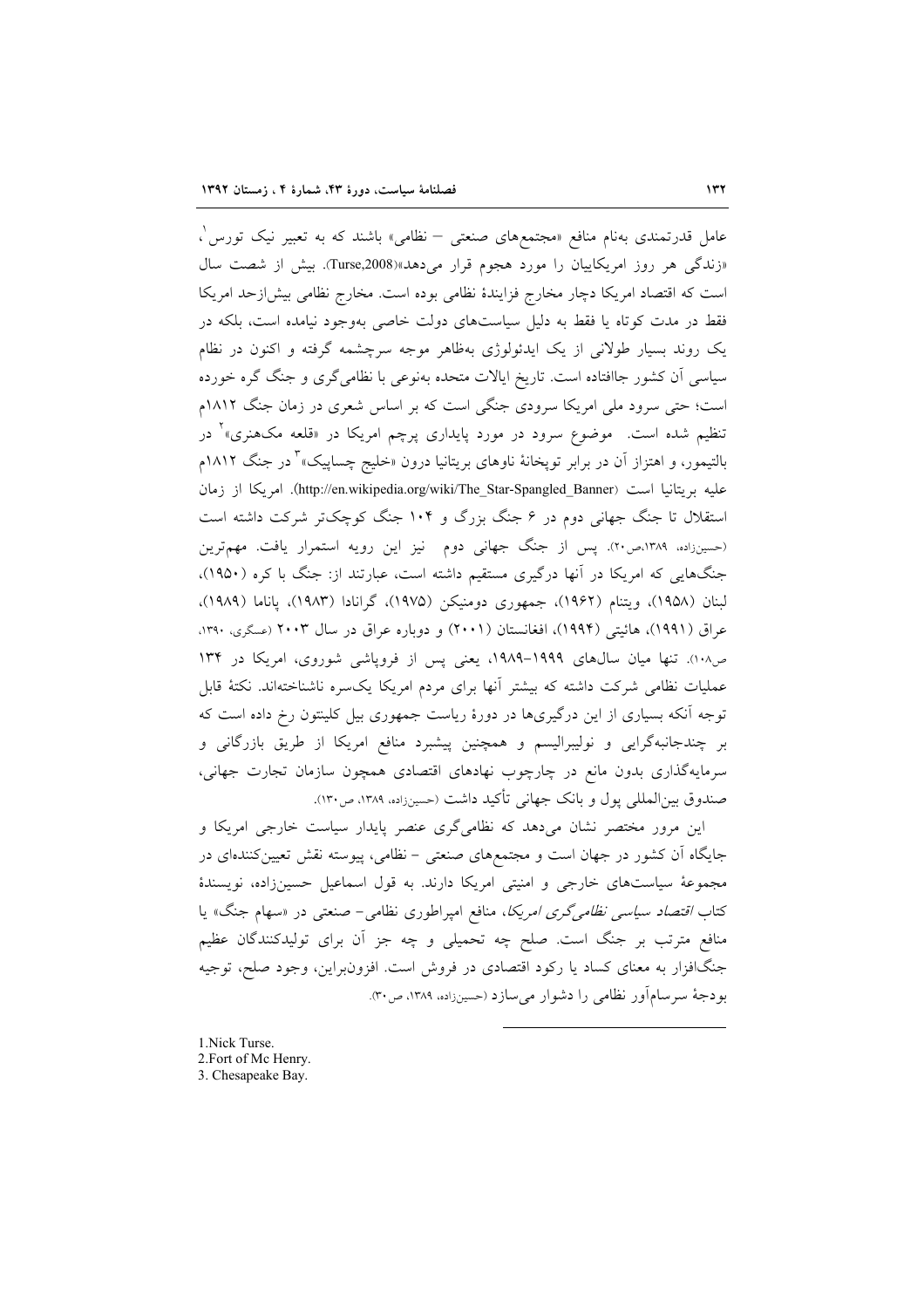عامل قدرتمندی بهنام منافع «مجتمعهای صنعتی – نظامی» باشند که به تعبیر نیک تورس'، «زندگی هر روز امریکاییان را مورد هجوم قرار می دهد»(Turse,2008). بیش از شصت سال است که اقتصاد امریکا دچار مخارج فزایندهٔ نظامی بوده است. مخارج نظامی بیش ازحد امریکا فقط در مدت کوتاه یا فقط به دلیل سیاستهای دولت خاصی بهوجود نیامده است، بلکه در یک روند بسیار طولانی از یک ایدئولوژی بهظاهر موجه سرچشمه گرفته و اکنون در نظام سیاسی آن کشور جاافتاده است. تاریخ ایالات متحده بهنوعی با نظامیگری و جنگ گره خورده است؛ حتی سرود ملی امریکا سرودی جنگی است که بر اساس شعری در زمان جنگ ۱۸۱۲م تنظیم شده است. موضوع سرود در مورد پایداری پرچم امریکا در «قلعه مکهنری»<sup>۲</sup> در بالتیمور، و اهتزاز آن در برابر توپخانهٔ ناوهای بریتانیا درون «خلیج چساپیک»<sup>۳</sup> در جنگ ۱۸۱۲م عليه بريتانيا است (http://en.wikipedia.org/wiki/The\_Star-Spangled\_Banner). امريكا از زمان استقلال تا جنگ جهانی دوم در ۶ جنگ بزرگ و ۱۰۴ جنگ کوچکتر شرکت داشته است (حسینزاده، ۱۳۸۹،ص۲۰). پس از جنگ جهانی دوم نیز این رویه استمرار یافت. مهمترین جنگهایی که امریکا در آنها درگیری مستقیم داشته است، عبارتند از: جنگ با کره (۱۹۵۰)، لبنان (١٩۵٨)، ويتنام (١٩۶٢)، جمهوري دومنيكن (١٩٧۵)، گرانادا (١٩٨٣)، پاناما (١٩٨٩). عراق (۱۹۹۱)، هائيتي (۱۹۹۴)، افغانستان (۲۰۰۱) و دوباره عراق در سال ۲۰۰۳ (عسگری، ۱۳۹۰، ص١٠٨). تنها ميان سالهاى ١٩٩٩-١٩٨٩، يعني يس از فروياشي شوروى، امريكا در ١٣٤ عملیات نظامی شرکت داشته که بیشتر آنها برای مردم امریکا یکسره ناشناختهاند. نکتهٔ قابل توجه آنکه بسیاری از این درگیریها در دورهٔ ریاست جمهوری بیل کلینتون رخ داده است که بر چندجانبهگرایی و نولیبرالیسم و همچنین پیشبرد منافع امریکا از طریق بازرگانی و سرمایهگذاری بدون مانع در چارچوب نهادهای اقتصادی همچون سازمان تجارت جهانی، صندوق بین|لمللی پول و بانک جهانی تأکید داشت (حسینزاده، ۱۳۸۹، ص۱۳۰).

این مرور مختصر نشان میدهد که نظامیگری عنصر پایدار سیاست خارجی امریکا و جایگاه آن کشور در جهان است و مجتمعهای صنعتی – نظامی، پیوسته نقش تعیینکنندهای در مجموعهٔ سیاستهای خارجی و امنیتی امریکا دارند. به قول اسماعیل حسینزاده، نویسندهٔ کتاب *اقتصاد سیاسی نظامیگری امریکا*، منافع امپراطوری نظامی– صنعتی در «سهام جنگ» یا منافع مترتب بر جنگ است. صلح چه تحمیلی و چه جز آن برای تولیدکنندگان عظیم جنگافزار به معنای کساد یا رکود اقتصادی در فروش است. افزونبراین، وجود صلح، توجیه بودجة سرسامآور نظامي را دشوار مي سازد (حسينزاده، ١٣٨٩، ص٣٠).

1. Nick Turse. 2. Fort of Mc Henry. 3. Chesapeake Bay.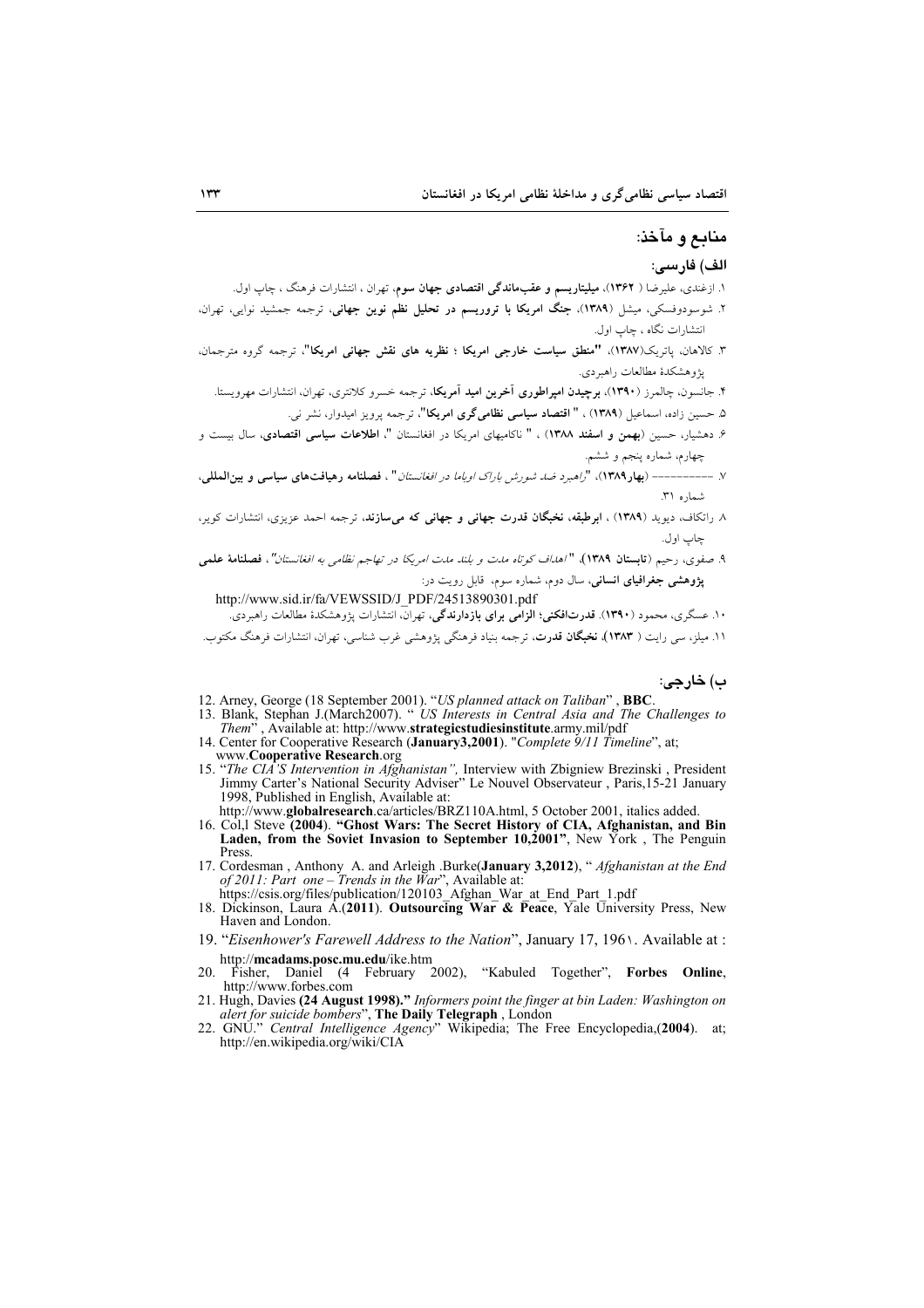#### منابع و مآخذ:

#### الف) فارسى:

- ۱. ازغندی، علیرضا ( ۱۳۶۲)، **میلیتاریسم و عقبماندگی اقتصادی جهان سوم**، تهران ، انتشارات فرهنگ ، چاپ اول.
- ۲. شوسودوفسکی، میشل (۱۳۸۹)، **جنگ امریکا با تروریسم در تحلیل نظم نوین جهانی**، ترجمه جمشید نوایی، تهران، انتشارات نگاه ، چاپ اول.
- ۳. کالاهان، یاتریک(۱۳۸۷)، **"منطق سیاست خارجی امریکا ؛ نظریه های نقش جهانی امریکا"**، ترجمه گروه مترجمان، يۋوهشكدة مطالعات راهبردي.
	- ۴. جانسون، چالمرز (**۱۳۹۰). برچیدن امپراطوری آخرین امید آمریکا**، ترجمه خسرو کلانتری، تهران، انتشارات مهرویستا.
		- ۵. حسین زاده، اسماعیل (۱۳۸۹) ، " اقتصاد سیاسی نظامیگری امریکا"، ترجمه پرویز امیدوار، نشر نی.
- ۶. دهشیار، حسین (بهمن و <mark>اسفند ۱۳۸۸</mark>) ، " ناکامیهای امریکا در افغانستان "، **اطلاعات سیاسی اقتصادی**، سال بیست و چهارم، شماره ينجم و ششم.
- ٧. ----------- (بهار ١٣٨٩)، "راهبرد ضد شورش باراك اوباما در افغانستان" ، فصلنامه رهيافتهاى سياسى و بين المللي، شماره ۳۱.
- ۸ راتکاف، دیوید (۱۳۸۹)، ابرطبقه، نخبگان قدرت جهانی و جهانی که میسازند، ترجمه احمد عزیزی، انتشارات کویر، چاب اول.
- ۹. صفوي، رحيم (قابستان ۱۳۸۹)، "اهداف كوتاه مدت و بلند مدت امريكا در تهاجم نظامي به افغانستان"، فصلنامة علمي **پژوهشی جغرافیای انسانی**، سال دوم، شماره سوم، قابل رویت در:

http://www.sid.ir/fa/VEWSSID/J\_PDF/24513890301.pdf ۱۰. عسگری، محمود (۱۳۹۰). قدرتافکنی؛ الزامّی برای بازدارندگی، تهرانّ انتشارات یژوهشکدهٔ مطالعات راهبردیّ.

۱۱. میلز، سی رایت ( ۱۳۸۳)، **نخبگان قدرت**، ترجمه بنیاد فرهنگی پژوهشی غرب شناسی، تهران، انتشارات فرهنگ مکتوب.

ب) خارجي:

- 
- 12. Arney, George (18 September 2001). "*US planned attack on Taliban*", **BBC**.<br>13. Blank, Stephan J.(March2007). " *US Interests in Central Asia and The Challenges to Them*", Available at: http://www.strategicstudiesinsti
- 14. Center for Cooperative Research (January3,2001). "Complete 9/11 Timeline", at; www.Cooperative Research.org
- 15. *The CIA'S Intervention in Afghanistan*", Interview with Zbigniew Brezinski, President Jimmy Carter's National Security Adviser" Le Nouvel Observateur, Paris, 15-21 January 1998, Published in English, Available at:

http://www.globalresearch.ca/articles/BRZ110A.html, 5 October 2001, italics added.

- 16. Col, 1 Steve (2004). "Ghost Wars: The Secret History of CIA, Afghanistan, and Bin Laden, from the Soviet Invasion to September 10,2001", New York, The Penguin Press
- 17. Cordesman, Anthony A. and Arleigh .Burke(January 3,2012), "Afghanistan at the End of 2011: Part one – Trends in the War", Available at:<br>https://csis.org/files/publication/120103 Afghan War at End Part 1.pdf
- 18. Dickinson, Laura A.(2011). Outsourcing War & Peace, Yale University Press, New Haven and London.
- 19. "Eisenhower's Farewell Address to the Nation", January 17, 196). Available at : http://mcadams.posc.mu.edu/ike.htm
- Fisher, Daniel (4 February 2002), "Kabuled Together", Forbes Online, 20. http://www.forbes.com
- 21. Hugh, Davies (24 August 1998)." Informers point the finger at bin Laden: Washington on
- alert for suicide bombers", The Daily Telegraph, London<br>22. GNU." Central Intelligence Agency" Wikipedia; The Free Encyclopedia, (2004). at;<br>http://en.wikipedia.org/wiki/CIA